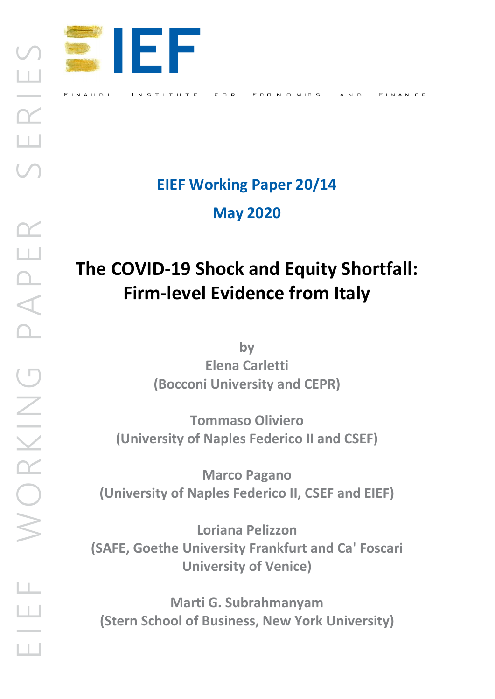

# EIEF Working Paper 20/14

May 2020

# Firm-level Evidence from Italy The COVID-19 Shock and Equity Shortfall:

by Elena Carletti (Bocconi University and CEPR)

Tommaso Oliviero Tommaso Oliviero<br>
(University of Naples Federico II and CSEF)

> Marco Pagano (University of Naples Federico II, CSEF and EIEF)

Loriana Pelizzon (SAFE, Goethe University Frankfurt and Ca' Foscari University of Venice)

Marti G. Subrahmanyam (Stern School of Business, New York University) <u>I II</u><br>I (Stern School)<br>I E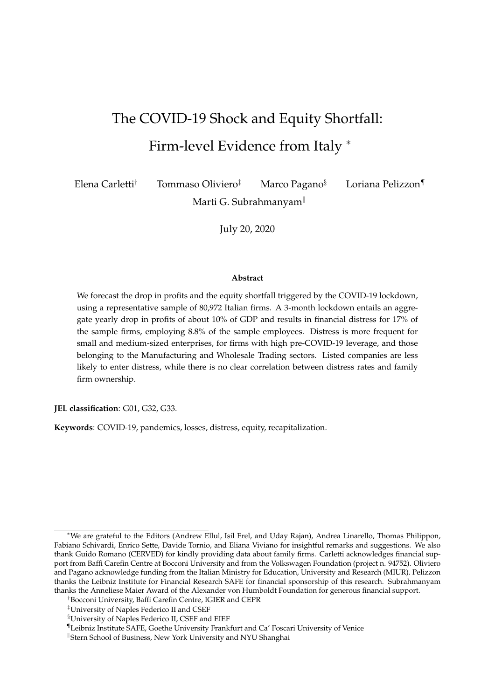# The COVID-19 Shock and Equity Shortfall: Firm-level Evidence from Italy <sup>∗</sup>

Elena Carletti<sup>†</sup> Tommaso Oliviero<sup>‡</sup> Marco Pagano<sup>§</sup> Loriana Pelizzon<sup>¶</sup> Marti G. Subrahmanyam<sup>||</sup>

July 20, 2020

#### **Abstract**

We forecast the drop in profits and the equity shortfall triggered by the COVID-19 lockdown, using a representative sample of 80,972 Italian firms. A 3-month lockdown entails an aggregate yearly drop in profits of about 10% of GDP and results in financial distress for 17% of the sample firms, employing 8.8% of the sample employees. Distress is more frequent for small and medium-sized enterprises, for firms with high pre-COVID-19 leverage, and those belonging to the Manufacturing and Wholesale Trading sectors. Listed companies are less likely to enter distress, while there is no clear correlation between distress rates and family firm ownership.

**JEL classification**: G01, G32, G33.

**Keywords**: COVID-19, pandemics, losses, distress, equity, recapitalization.

<sup>∗</sup>We are grateful to the Editors (Andrew Ellul, Isil Erel, and Uday Rajan), Andrea Linarello, Thomas Philippon, Fabiano Schivardi, Enrico Sette, Davide Tornio, and Eliana Viviano for insightful remarks and suggestions. We also thank Guido Romano (CERVED) for kindly providing data about family firms. Carletti acknowledges financial support from Baffi Carefin Centre at Bocconi University and from the Volkswagen Foundation (project n. 94752). Oliviero and Pagano acknowledge funding from the Italian Ministry for Education, University and Research (MIUR). Pelizzon thanks the Leibniz Institute for Financial Research SAFE for financial sponsorship of this research. Subrahmanyam thanks the Anneliese Maier Award of the Alexander von Humboldt Foundation for generous financial support.

<sup>†</sup>Bocconi University, Baffi Carefin Centre, IGIER and CEPR

<sup>‡</sup>University of Naples Federico II and CSEF

<sup>§</sup>University of Naples Federico II, CSEF and EIEF

<sup>¶</sup>Leibniz Institute SAFE, Goethe University Frankfurt and Ca' Foscari University of Venice

<sup>&</sup>lt;sup>II</sup> Stern School of Business, New York University and NYU Shanghai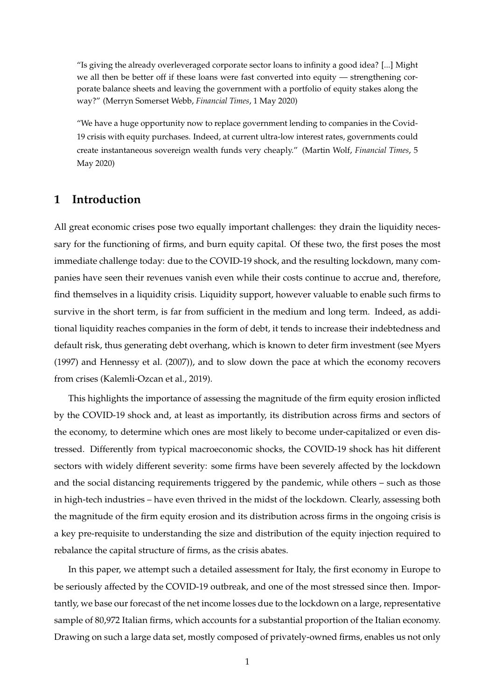"Is giving the already overleveraged corporate sector loans to infinity a good idea? [...] Might we all then be better off if these loans were fast converted into equity — strengthening corporate balance sheets and leaving the government with a portfolio of equity stakes along the way?" (Merryn Somerset Webb, *Financial Times*, 1 May 2020)

"We have a huge opportunity now to replace government lending to companies in the Covid-19 crisis with equity purchases. Indeed, at current ultra-low interest rates, governments could create instantaneous sovereign wealth funds very cheaply." (Martin Wolf, *Financial Times*, 5 May 2020)

# **1 Introduction**

All great economic crises pose two equally important challenges: they drain the liquidity necessary for the functioning of firms, and burn equity capital. Of these two, the first poses the most immediate challenge today: due to the COVID-19 shock, and the resulting lockdown, many companies have seen their revenues vanish even while their costs continue to accrue and, therefore, find themselves in a liquidity crisis. Liquidity support, however valuable to enable such firms to survive in the short term, is far from sufficient in the medium and long term. Indeed, as additional liquidity reaches companies in the form of debt, it tends to increase their indebtedness and default risk, thus generating debt overhang, which is known to deter firm investment (see Myers (1997) and Hennessy et al. (2007)), and to slow down the pace at which the economy recovers from crises (Kalemli-Ozcan et al., 2019).

This highlights the importance of assessing the magnitude of the firm equity erosion inflicted by the COVID-19 shock and, at least as importantly, its distribution across firms and sectors of the economy, to determine which ones are most likely to become under-capitalized or even distressed. Differently from typical macroeconomic shocks, the COVID-19 shock has hit different sectors with widely different severity: some firms have been severely affected by the lockdown and the social distancing requirements triggered by the pandemic, while others – such as those in high-tech industries – have even thrived in the midst of the lockdown. Clearly, assessing both the magnitude of the firm equity erosion and its distribution across firms in the ongoing crisis is a key pre-requisite to understanding the size and distribution of the equity injection required to rebalance the capital structure of firms, as the crisis abates.

In this paper, we attempt such a detailed assessment for Italy, the first economy in Europe to be seriously affected by the COVID-19 outbreak, and one of the most stressed since then. Importantly, we base our forecast of the net income losses due to the lockdown on a large, representative sample of 80,972 Italian firms, which accounts for a substantial proportion of the Italian economy. Drawing on such a large data set, mostly composed of privately-owned firms, enables us not only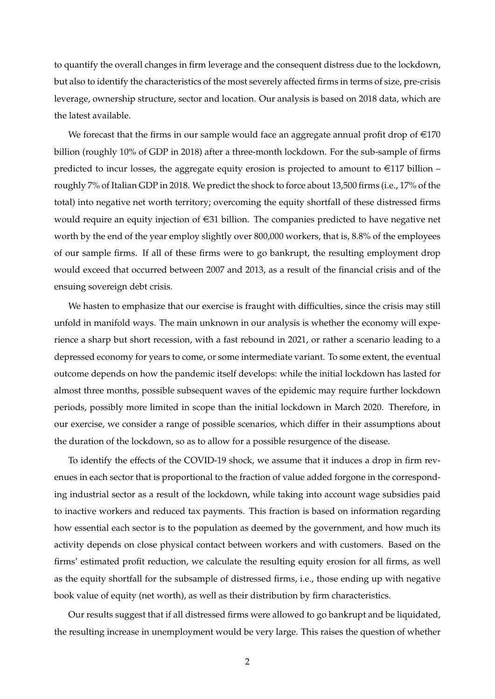to quantify the overall changes in firm leverage and the consequent distress due to the lockdown, but also to identify the characteristics of the most severely affected firms in terms of size, pre-crisis leverage, ownership structure, sector and location. Our analysis is based on 2018 data, which are the latest available.

We forecast that the firms in our sample would face an aggregate annual profit drop of  $\in$ 170 billion (roughly 10% of GDP in 2018) after a three-month lockdown. For the sub-sample of firms predicted to incur losses, the aggregate equity erosion is projected to amount to  $\in$ 117 billion – roughly 7% of Italian GDP in 2018. We predict the shock to force about 13,500 firms (i.e., 17% of the total) into negative net worth territory; overcoming the equity shortfall of these distressed firms would require an equity injection of  $\in$ 31 billion. The companies predicted to have negative net worth by the end of the year employ slightly over 800,000 workers, that is, 8.8% of the employees of our sample firms. If all of these firms were to go bankrupt, the resulting employment drop would exceed that occurred between 2007 and 2013, as a result of the financial crisis and of the ensuing sovereign debt crisis.

We hasten to emphasize that our exercise is fraught with difficulties, since the crisis may still unfold in manifold ways. The main unknown in our analysis is whether the economy will experience a sharp but short recession, with a fast rebound in 2021, or rather a scenario leading to a depressed economy for years to come, or some intermediate variant. To some extent, the eventual outcome depends on how the pandemic itself develops: while the initial lockdown has lasted for almost three months, possible subsequent waves of the epidemic may require further lockdown periods, possibly more limited in scope than the initial lockdown in March 2020. Therefore, in our exercise, we consider a range of possible scenarios, which differ in their assumptions about the duration of the lockdown, so as to allow for a possible resurgence of the disease.

To identify the effects of the COVID-19 shock, we assume that it induces a drop in firm revenues in each sector that is proportional to the fraction of value added forgone in the corresponding industrial sector as a result of the lockdown, while taking into account wage subsidies paid to inactive workers and reduced tax payments. This fraction is based on information regarding how essential each sector is to the population as deemed by the government, and how much its activity depends on close physical contact between workers and with customers. Based on the firms' estimated profit reduction, we calculate the resulting equity erosion for all firms, as well as the equity shortfall for the subsample of distressed firms, i.e., those ending up with negative book value of equity (net worth), as well as their distribution by firm characteristics.

Our results suggest that if all distressed firms were allowed to go bankrupt and be liquidated, the resulting increase in unemployment would be very large. This raises the question of whether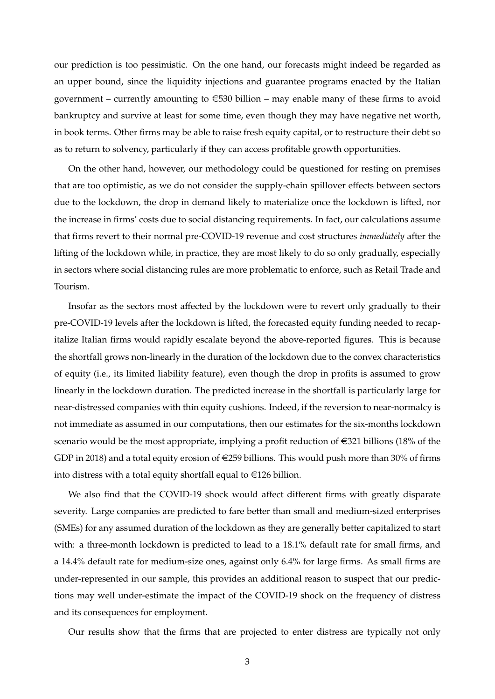our prediction is too pessimistic. On the one hand, our forecasts might indeed be regarded as an upper bound, since the liquidity injections and guarantee programs enacted by the Italian government – currently amounting to  $\epsilon$ 530 billion – may enable many of these firms to avoid bankruptcy and survive at least for some time, even though they may have negative net worth, in book terms. Other firms may be able to raise fresh equity capital, or to restructure their debt so as to return to solvency, particularly if they can access profitable growth opportunities.

On the other hand, however, our methodology could be questioned for resting on premises that are too optimistic, as we do not consider the supply-chain spillover effects between sectors due to the lockdown, the drop in demand likely to materialize once the lockdown is lifted, nor the increase in firms' costs due to social distancing requirements. In fact, our calculations assume that firms revert to their normal pre-COVID-19 revenue and cost structures *immediately* after the lifting of the lockdown while, in practice, they are most likely to do so only gradually, especially in sectors where social distancing rules are more problematic to enforce, such as Retail Trade and Tourism.

Insofar as the sectors most affected by the lockdown were to revert only gradually to their pre-COVID-19 levels after the lockdown is lifted, the forecasted equity funding needed to recapitalize Italian firms would rapidly escalate beyond the above-reported figures. This is because the shortfall grows non-linearly in the duration of the lockdown due to the convex characteristics of equity (i.e., its limited liability feature), even though the drop in profits is assumed to grow linearly in the lockdown duration. The predicted increase in the shortfall is particularly large for near-distressed companies with thin equity cushions. Indeed, if the reversion to near-normalcy is not immediate as assumed in our computations, then our estimates for the six-months lockdown scenario would be the most appropriate, implying a profit reduction of  $\in$ 321 billions (18% of the GDP in 2018) and a total equity erosion of  $\in$ 259 billions. This would push more than 30% of firms into distress with a total equity shortfall equal to  $\in$ 126 billion.

We also find that the COVID-19 shock would affect different firms with greatly disparate severity. Large companies are predicted to fare better than small and medium-sized enterprises (SMEs) for any assumed duration of the lockdown as they are generally better capitalized to start with: a three-month lockdown is predicted to lead to a 18.1% default rate for small firms, and a 14.4% default rate for medium-size ones, against only 6.4% for large firms. As small firms are under-represented in our sample, this provides an additional reason to suspect that our predictions may well under-estimate the impact of the COVID-19 shock on the frequency of distress and its consequences for employment.

Our results show that the firms that are projected to enter distress are typically not only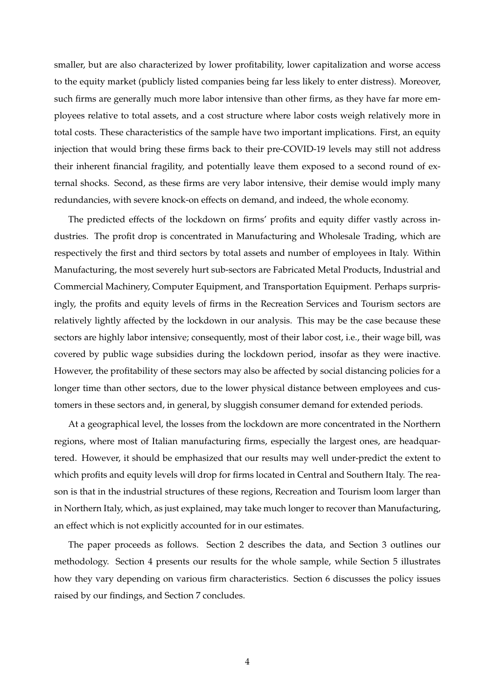smaller, but are also characterized by lower profitability, lower capitalization and worse access to the equity market (publicly listed companies being far less likely to enter distress). Moreover, such firms are generally much more labor intensive than other firms, as they have far more employees relative to total assets, and a cost structure where labor costs weigh relatively more in total costs. These characteristics of the sample have two important implications. First, an equity injection that would bring these firms back to their pre-COVID-19 levels may still not address their inherent financial fragility, and potentially leave them exposed to a second round of external shocks. Second, as these firms are very labor intensive, their demise would imply many redundancies, with severe knock-on effects on demand, and indeed, the whole economy.

The predicted effects of the lockdown on firms' profits and equity differ vastly across industries. The profit drop is concentrated in Manufacturing and Wholesale Trading, which are respectively the first and third sectors by total assets and number of employees in Italy. Within Manufacturing, the most severely hurt sub-sectors are Fabricated Metal Products, Industrial and Commercial Machinery, Computer Equipment, and Transportation Equipment. Perhaps surprisingly, the profits and equity levels of firms in the Recreation Services and Tourism sectors are relatively lightly affected by the lockdown in our analysis. This may be the case because these sectors are highly labor intensive; consequently, most of their labor cost, i.e., their wage bill, was covered by public wage subsidies during the lockdown period, insofar as they were inactive. However, the profitability of these sectors may also be affected by social distancing policies for a longer time than other sectors, due to the lower physical distance between employees and customers in these sectors and, in general, by sluggish consumer demand for extended periods.

At a geographical level, the losses from the lockdown are more concentrated in the Northern regions, where most of Italian manufacturing firms, especially the largest ones, are headquartered. However, it should be emphasized that our results may well under-predict the extent to which profits and equity levels will drop for firms located in Central and Southern Italy. The reason is that in the industrial structures of these regions, Recreation and Tourism loom larger than in Northern Italy, which, as just explained, may take much longer to recover than Manufacturing, an effect which is not explicitly accounted for in our estimates.

The paper proceeds as follows. Section 2 describes the data, and Section 3 outlines our methodology. Section 4 presents our results for the whole sample, while Section 5 illustrates how they vary depending on various firm characteristics. Section 6 discusses the policy issues raised by our findings, and Section 7 concludes.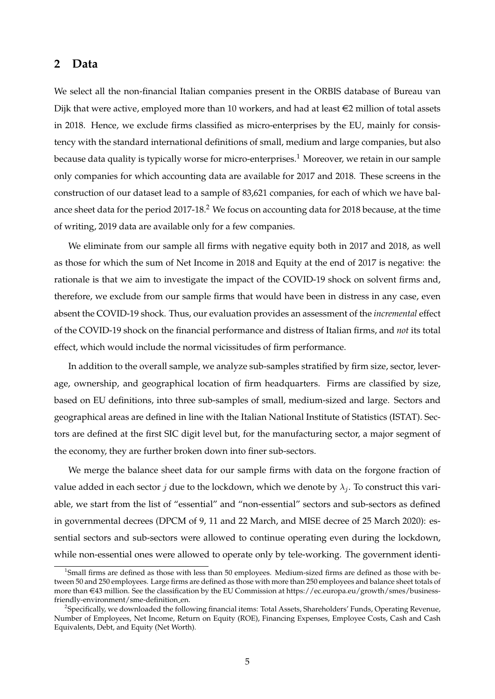## **2 Data**

We select all the non-financial Italian companies present in the ORBIS database of Bureau van Dijk that were active, employed more than 10 workers, and had at least  $\in$ 2 million of total assets in 2018. Hence, we exclude firms classified as micro-enterprises by the EU, mainly for consistency with the standard international definitions of small, medium and large companies, but also because data quality is typically worse for micro-enterprises.<sup>1</sup> Moreover, we retain in our sample only companies for which accounting data are available for 2017 and 2018. These screens in the construction of our dataset lead to a sample of 83,621 companies, for each of which we have balance sheet data for the period 2017-18.<sup>2</sup> We focus on accounting data for 2018 because, at the time of writing, 2019 data are available only for a few companies.

We eliminate from our sample all firms with negative equity both in 2017 and 2018, as well as those for which the sum of Net Income in 2018 and Equity at the end of 2017 is negative: the rationale is that we aim to investigate the impact of the COVID-19 shock on solvent firms and, therefore, we exclude from our sample firms that would have been in distress in any case, even absent the COVID-19 shock. Thus, our evaluation provides an assessment of the *incremental* effect of the COVID-19 shock on the financial performance and distress of Italian firms, and *not* its total effect, which would include the normal vicissitudes of firm performance.

In addition to the overall sample, we analyze sub-samples stratified by firm size, sector, leverage, ownership, and geographical location of firm headquarters. Firms are classified by size, based on EU definitions, into three sub-samples of small, medium-sized and large. Sectors and geographical areas are defined in line with the Italian National Institute of Statistics (ISTAT). Sectors are defined at the first SIC digit level but, for the manufacturing sector, a major segment of the economy, they are further broken down into finer sub-sectors.

We merge the balance sheet data for our sample firms with data on the forgone fraction of value added in each sector j due to the lockdown, which we denote by  $\lambda_i$ . To construct this variable, we start from the list of "essential" and "non-essential" sectors and sub-sectors as defined in governmental decrees (DPCM of 9, 11 and 22 March, and MISE decree of 25 March 2020): essential sectors and sub-sectors were allowed to continue operating even during the lockdown, while non-essential ones were allowed to operate only by tele-working. The government identi-

<sup>&</sup>lt;sup>1</sup>Small firms are defined as those with less than 50 employees. Medium-sized firms are defined as those with between 50 and 250 employees. Large firms are defined as those with more than 250 employees and balance sheet totals of more than e43 million. See the classification by the EU Commission at https://ec.europa.eu/growth/smes/businessfriendly-environment/sme-definition en.

 $^2$ Specifically, we downloaded the following financial items: Total Assets, Shareholders' Funds, Operating Revenue, Number of Employees, Net Income, Return on Equity (ROE), Financing Expenses, Employee Costs, Cash and Cash Equivalents, Debt, and Equity (Net Worth).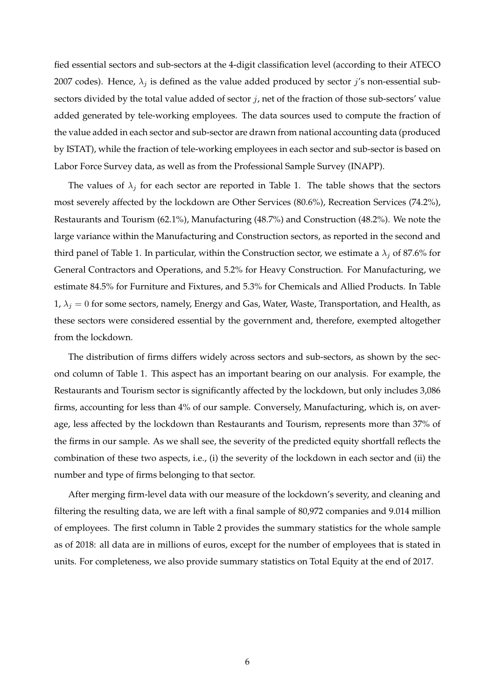fied essential sectors and sub-sectors at the 4-digit classification level (according to their ATECO 2007 codes). Hence,  $\lambda_i$  is defined as the value added produced by sector j's non-essential subsectors divided by the total value added of sector  $j$ , net of the fraction of those sub-sectors' value added generated by tele-working employees. The data sources used to compute the fraction of the value added in each sector and sub-sector are drawn from national accounting data (produced by ISTAT), while the fraction of tele-working employees in each sector and sub-sector is based on Labor Force Survey data, as well as from the Professional Sample Survey (INAPP).

The values of  $\lambda_j$  for each sector are reported in Table 1. The table shows that the sectors most severely affected by the lockdown are Other Services (80.6%), Recreation Services (74.2%), Restaurants and Tourism (62.1%), Manufacturing (48.7%) and Construction (48.2%). We note the large variance within the Manufacturing and Construction sectors, as reported in the second and third panel of Table 1. In particular, within the Construction sector, we estimate a  $\lambda_i$  of 87.6% for General Contractors and Operations, and 5.2% for Heavy Construction. For Manufacturing, we estimate 84.5% for Furniture and Fixtures, and 5.3% for Chemicals and Allied Products. In Table  $1, \lambda_j = 0$  for some sectors, namely, Energy and Gas, Water, Waste, Transportation, and Health, as these sectors were considered essential by the government and, therefore, exempted altogether from the lockdown.

The distribution of firms differs widely across sectors and sub-sectors, as shown by the second column of Table 1. This aspect has an important bearing on our analysis. For example, the Restaurants and Tourism sector is significantly affected by the lockdown, but only includes 3,086 firms, accounting for less than 4% of our sample. Conversely, Manufacturing, which is, on average, less affected by the lockdown than Restaurants and Tourism, represents more than 37% of the firms in our sample. As we shall see, the severity of the predicted equity shortfall reflects the combination of these two aspects, i.e., (i) the severity of the lockdown in each sector and (ii) the number and type of firms belonging to that sector.

After merging firm-level data with our measure of the lockdown's severity, and cleaning and filtering the resulting data, we are left with a final sample of 80,972 companies and 9.014 million of employees. The first column in Table 2 provides the summary statistics for the whole sample as of 2018: all data are in millions of euros, except for the number of employees that is stated in units. For completeness, we also provide summary statistics on Total Equity at the end of 2017.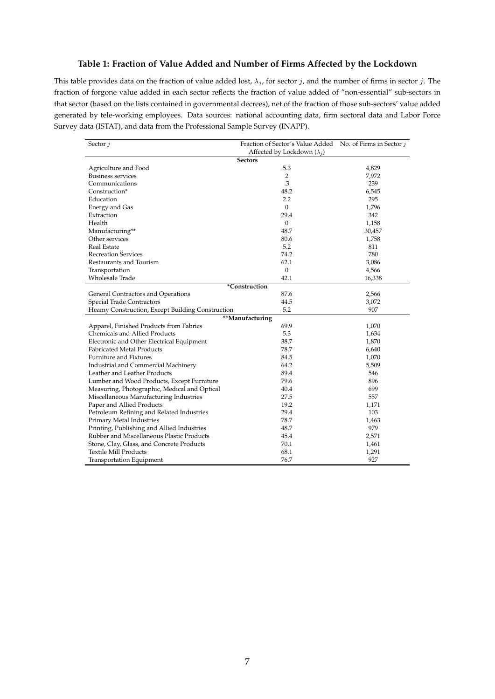# **Table 1: Fraction of Value Added and Number of Firms Affected by the Lockdown**

This table provides data on the fraction of value added lost,  $\lambda_j$ , for sector j, and the number of firms in sector j. The fraction of forgone value added in each sector reflects the fraction of value added of "non-essential" sub-sectors in that sector (based on the lists contained in governmental decrees), net of the fraction of those sub-sectors' value added generated by tele-working employees. Data sources: national accounting data, firm sectoral data and Labor Force Survey data (ISTAT), and data from the Professional Sample Survey (INAPP).

| Sector $i$                                       | Fraction of Sector's Value Added No. of Firms in Sector j |        |
|--------------------------------------------------|-----------------------------------------------------------|--------|
|                                                  | Affected by Lockdown $(\lambda_i)$                        |        |
|                                                  | <b>Sectors</b>                                            |        |
| Agriculture and Food                             | 5.3                                                       | 4,829  |
| <b>Business services</b>                         | 2                                                         | 7,972  |
| Communications                                   | .3                                                        | 239    |
| Construction*                                    | 48.2                                                      | 6,545  |
| Education                                        | 2.2                                                       | 295    |
| Energy and Gas                                   | $\Omega$                                                  | 1,796  |
| Extraction                                       | 29.4                                                      | 342    |
| Health                                           | 0                                                         | 1,158  |
| Manufacturing**                                  | 48.7                                                      | 30,457 |
| Other services                                   | 80.6                                                      | 1,758  |
| <b>Real Estate</b>                               | 5.2                                                       | 811    |
| <b>Recreation Services</b>                       | 74.2                                                      | 780    |
| Restaurants and Tourism                          | 62.1                                                      | 3,086  |
| Transportation                                   | $\mathbf{0}$                                              | 4,566  |
| <b>Wholesale Trade</b>                           | 42.1                                                      | 16,338 |
|                                                  | *Construction                                             |        |
| General Contractors and Operations               | 87.6                                                      | 2,566  |
| Special Trade Contractors                        | 44.5                                                      | 3,072  |
| Heamy Construction, Except Building Construction | 5.2                                                       | 907    |
|                                                  | **Manufacturing                                           |        |
| Apparel, Finished Products from Fabrics          | 69.9                                                      | 1,070  |
| Chemicals and Allied Products                    | 5.3                                                       | 1,634  |
| Electronic and Other Electrical Equipment        | 38.7                                                      | 1,870  |
| <b>Fabricated Metal Products</b>                 | 78.7                                                      | 6,640  |
| <b>Furniture and Fixtures</b>                    | 84.5                                                      | 1,070  |
| Industrial and Commercial Machinery              | 64.2                                                      | 5,509  |
| Leather and Leather Products                     | 89.4                                                      | 546    |
| Lumber and Wood Products, Except Furniture       | 79.6                                                      | 896    |
| Measuring, Photographic, Medical and Optical     | 40.4                                                      | 699    |
| Miscellaneous Manufacturing Industries           | 27.5                                                      | 557    |
| Paper and Allied Products                        | 19.2                                                      | 1,171  |
| Petroleum Refining and Related Industries        | 29.4                                                      | 103    |
| Primary Metal Industries                         | 78.7                                                      | 1,463  |
| Printing, Publishing and Allied Industries       | 48.7                                                      | 979    |
| Rubber and Miscellaneous Plastic Products        | 45.4                                                      | 2,571  |
| Stone, Clay, Glass, and Concrete Products        | 70.1                                                      | 1,461  |
| Textile Mill Products                            | 68.1                                                      | 1,291  |
| Transportation Equipment                         | 76.7                                                      | 927    |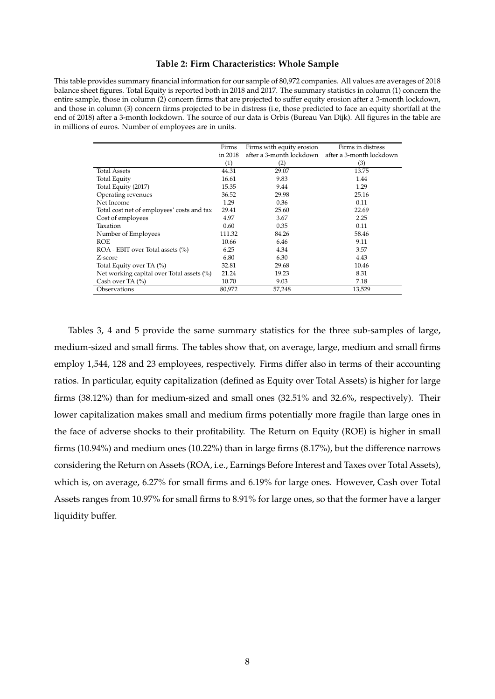#### **Table 2: Firm Characteristics: Whole Sample**

This table provides summary financial information for our sample of 80,972 companies. All values are averages of 2018 balance sheet figures. Total Equity is reported both in 2018 and 2017. The summary statistics in column (1) concern the entire sample, those in column (2) concern firms that are projected to suffer equity erosion after a 3-month lockdown, and those in column (3) concern firms projected to be in distress (i.e, those predicted to face an equity shortfall at the end of 2018) after a 3-month lockdown. The source of our data is Orbis (Bureau Van Dijk). All figures in the table are in millions of euros. Number of employees are in units.

|                                            | Firms   | Firms with equity erosion | Firms in distress        |
|--------------------------------------------|---------|---------------------------|--------------------------|
|                                            | in 2018 | after a 3-month lockdown  | after a 3-month lockdown |
|                                            | (1)     | (2)                       | (3)                      |
| <b>Total Assets</b>                        | 44.31   | 29.07                     | 13.75                    |
| <b>Total Equity</b>                        | 16.61   | 9.83                      | 1.44                     |
| Total Equity (2017)                        | 15.35   | 9.44                      | 1.29                     |
| Operating revenues                         | 36.52   | 29.98                     | 25.16                    |
| Net Income                                 | 1.29    | 0.36                      | 0.11                     |
| Total cost net of employees' costs and tax | 29.41   | 25.60                     | 22.69                    |
| Cost of employees                          | 4.97    | 3.67                      | 2.25                     |
| Taxation                                   | 0.60    | 0.35                      | 0.11                     |
| Number of Employees                        | 111.32  | 84.26                     | 58.46                    |
| <b>ROE</b>                                 | 10.66   | 6.46                      | 9.11                     |
| ROA - EBIT over Total assets (%)           | 6.25    | 4.34                      | 3.57                     |
| Z-score                                    | 6.80    | 6.30                      | 4.43                     |
| Total Equity over TA (%)                   | 32.81   | 29.68                     | 10.46                    |
| Net working capital over Total assets (%)  | 21.24   | 19.23                     | 8.31                     |
| Cash over TA (%)                           | 10.70   | 9.03                      | 7.18                     |
| Observations                               | 80,972  | 57,248                    | 13,529                   |

Tables 3, 4 and 5 provide the same summary statistics for the three sub-samples of large, medium-sized and small firms. The tables show that, on average, large, medium and small firms employ 1,544, 128 and 23 employees, respectively. Firms differ also in terms of their accounting ratios. In particular, equity capitalization (defined as Equity over Total Assets) is higher for large firms (38.12%) than for medium-sized and small ones (32.51% and 32.6%, respectively). Their lower capitalization makes small and medium firms potentially more fragile than large ones in the face of adverse shocks to their profitability. The Return on Equity (ROE) is higher in small firms (10.94%) and medium ones (10.22%) than in large firms (8.17%), but the difference narrows considering the Return on Assets (ROA, i.e., Earnings Before Interest and Taxes over Total Assets), which is, on average, 6.27% for small firms and 6.19% for large ones. However, Cash over Total Assets ranges from 10.97% for small firms to 8.91% for large ones, so that the former have a larger liquidity buffer.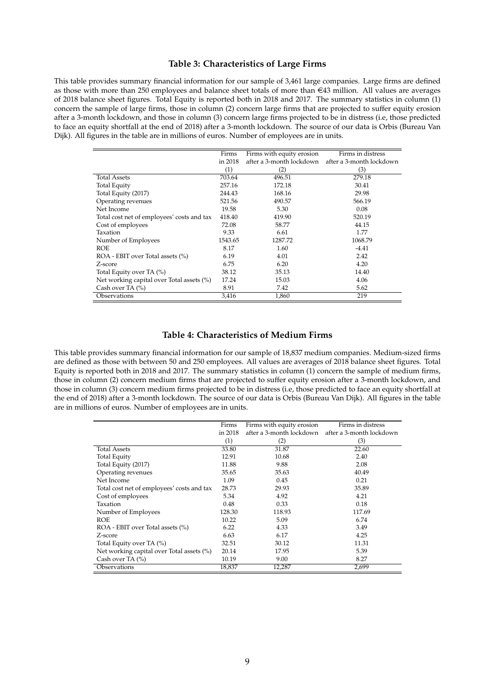## **Table 3: Characteristics of Large Firms**

This table provides summary financial information for our sample of 3,461 large companies. Large firms are defined as those with more than 250 employees and balance sheet totals of more than  $\in 43$  million. All values are averages of 2018 balance sheet figures. Total Equity is reported both in 2018 and 2017. The summary statistics in column (1) concern the sample of large firms, those in column (2) concern large firms that are projected to suffer equity erosion after a 3-month lockdown, and those in column (3) concern large firms projected to be in distress (i.e, those predicted to face an equity shortfall at the end of 2018) after a 3-month lockdown. The source of our data is Orbis (Bureau Van Dijk). All figures in the table are in millions of euros. Number of employees are in units.

|                                            | Firms   | Firms with equity erosion | Firms in distress        |
|--------------------------------------------|---------|---------------------------|--------------------------|
|                                            | in 2018 | after a 3-month lockdown  | after a 3-month lockdown |
|                                            | (1)     | (2)                       | (3)                      |
| <b>Total Assets</b>                        | 703.64  | 496.51                    | 279.18                   |
| <b>Total Equity</b>                        | 257.16  | 172.18                    | 30.41                    |
| Total Equity (2017)                        | 244.43  | 168.16                    | 29.98                    |
| Operating revenues                         | 521.56  | 490.57                    | 566.19                   |
| Net Income                                 | 19.58   | 5.30                      | 0.08                     |
| Total cost net of employees' costs and tax | 418.40  | 419.90                    | 520.19                   |
| Cost of employees                          | 72.08   | 58.77                     | 44.15                    |
| Taxation                                   | 9.33    | 6.61                      | 1.77                     |
| Number of Employees                        | 1543.65 | 1287.72                   | 1068.79                  |
| <b>ROE</b>                                 | 8.17    | 1.60                      | $-4.41$                  |
| ROA - EBIT over Total assets (%)           | 6.19    | 4.01                      | 2.42                     |
| Z-score                                    | 6.75    | 6.20                      | 4.20                     |
| Total Equity over TA (%)                   | 38.12   | 35.13                     | 14.40                    |
| Net working capital over Total assets (%)  | 17.24   | 15.03                     | 4.06                     |
| Cash over TA (%)                           | 8.91    | 7.42                      | 5.62                     |
| Observations                               | 3,416   | 1,860                     | 219                      |

#### **Table 4: Characteristics of Medium Firms**

This table provides summary financial information for our sample of 18,837 medium companies. Medium-sized firms are defined as those with between 50 and 250 employees. All values are averages of 2018 balance sheet figures. Total Equity is reported both in 2018 and 2017. The summary statistics in column (1) concern the sample of medium firms, those in column (2) concern medium firms that are projected to suffer equity erosion after a 3-month lockdown, and those in column (3) concern medium firms projected to be in distress (i.e, those predicted to face an equity shortfall at the end of 2018) after a 3-month lockdown. The source of our data is Orbis (Bureau Van Dijk). All figures in the table are in millions of euros. Number of employees are in units.

|                                            | Firms   | Firms with equity erosion | Firms in distress        |
|--------------------------------------------|---------|---------------------------|--------------------------|
|                                            | in 2018 | after a 3-month lockdown  | after a 3-month lockdown |
|                                            | (1)     | (2)                       | (3)                      |
| <b>Total Assets</b>                        | 33.80   | 31.87                     | 22.60                    |
| <b>Total Equity</b>                        | 12.91   | 10.68                     | 2.40                     |
| Total Equity (2017)                        | 11.88   | 9.88                      | 2.08                     |
| Operating revenues                         | 35.65   | 35.63                     | 40.49                    |
| Net Income                                 | 1.09    | 0.45                      | 0.21                     |
| Total cost net of employees' costs and tax | 28.73   | 29.93                     | 35.89                    |
| Cost of employees                          | 5.34    | 4.92                      | 4.21                     |
| Taxation                                   | 0.48    | 0.33                      | 0.18                     |
| Number of Employees                        | 128.30  | 118.93                    | 117.69                   |
| <b>ROE</b>                                 | 10.22   | 5.09                      | 6.74                     |
| ROA - EBIT over Total assets (%)           | 6.22    | 4.33                      | 3.49                     |
| Z-score                                    | 6.63    | 6.17                      | 4.25                     |
| Total Equity over TA (%)                   | 32.51   | 30.12                     | 11.31                    |
| Net working capital over Total assets (%)  | 20.14   | 17.95                     | 5.39                     |
| Cash over TA (%)                           | 10.19   | 9.00                      | 8.27                     |
| Observations                               | 18,837  | 12,287                    | 2,699                    |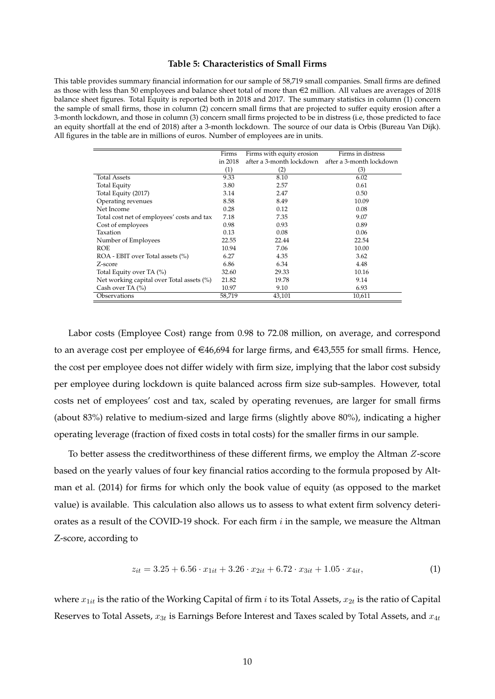### **Table 5: Characteristics of Small Firms**

This table provides summary financial information for our sample of 58,719 small companies. Small firms are defined as those with less than 50 employees and balance sheet total of more than  $\epsilon$ 2 million. All values are averages of 2018 balance sheet figures. Total Equity is reported both in 2018 and 2017. The summary statistics in column (1) concern the sample of small firms, those in column (2) concern small firms that are projected to suffer equity erosion after a 3-month lockdown, and those in column (3) concern small firms projected to be in distress (i.e, those predicted to face an equity shortfall at the end of 2018) after a 3-month lockdown. The source of our data is Orbis (Bureau Van Dijk). All figures in the table are in millions of euros. Number of employees are in units.

|                                            | Firms   | Firms with equity erosion | Firms in distress        |
|--------------------------------------------|---------|---------------------------|--------------------------|
|                                            | in 2018 | after a 3-month lockdown  | after a 3-month lockdown |
|                                            | (1)     | (2)                       | (3)                      |
| <b>Total Assets</b>                        | 9.33    | 8.10                      | 6.02                     |
| <b>Total Equity</b>                        | 3.80    | 2.57                      | 0.61                     |
| Total Equity (2017)                        | 3.14    | 2.47                      | 0.50                     |
| Operating revenues                         | 8.58    | 8.49                      | 10.09                    |
| Net Income                                 | 0.28    | 0.12                      | 0.08                     |
| Total cost net of employees' costs and tax | 7.18    | 7.35                      | 9.07                     |
| Cost of employees                          | 0.98    | 0.93                      | 0.89                     |
| Taxation                                   | 0.13    | 0.08                      | 0.06                     |
| Number of Employees                        | 22.55   | 22.44                     | 22.54                    |
| <b>ROE</b>                                 | 10.94   | 7.06                      | 10.00                    |
| ROA - EBIT over Total assets (%)           | 6.27    | 4.35                      | 3.62                     |
| Z-score                                    | 6.86    | 6.34                      | 4.48                     |
| Total Equity over TA (%)                   | 32.60   | 29.33                     | 10.16                    |
| Net working capital over Total assets (%)  | 21.82   | 19.78                     | 9.14                     |
| Cash over TA (%)                           | 10.97   | 9.10                      | 6.93                     |
| Observations                               | 58,719  | 43,101                    | 10,611                   |

Labor costs (Employee Cost) range from 0.98 to 72.08 million, on average, and correspond to an average cost per employee of  $\in 46,694$  for large firms, and  $\in 43,555$  for small firms. Hence, the cost per employee does not differ widely with firm size, implying that the labor cost subsidy per employee during lockdown is quite balanced across firm size sub-samples. However, total costs net of employees' cost and tax, scaled by operating revenues, are larger for small firms (about 83%) relative to medium-sized and large firms (slightly above 80%), indicating a higher operating leverage (fraction of fixed costs in total costs) for the smaller firms in our sample.

To better assess the creditworthiness of these different firms, we employ the Altman Z-score based on the yearly values of four key financial ratios according to the formula proposed by Altman et al. (2014) for firms for which only the book value of equity (as opposed to the market value) is available. This calculation also allows us to assess to what extent firm solvency deteriorates as a result of the COVID-19 shock. For each firm  $i$  in the sample, we measure the Altman Z-score, according to

$$
z_{it} = 3.25 + 6.56 \cdot x_{1it} + 3.26 \cdot x_{2it} + 6.72 \cdot x_{3it} + 1.05 \cdot x_{4it}, \tag{1}
$$

where  $x_{1it}$  is the ratio of the Working Capital of firm  $i$  to its Total Assets,  $x_{2t}$  is the ratio of Capital Reserves to Total Assets,  $x_{3t}$  is Earnings Before Interest and Taxes scaled by Total Assets, and  $x_{4t}$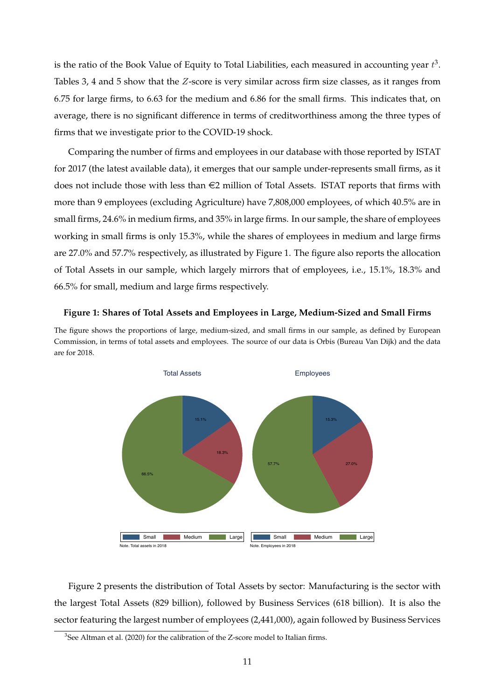is the ratio of the Book Value of Equity to Total Liabilities, each measured in accounting year  $t^3$ . Tables 3, 4 and 5 show that the  $Z$ -score is very similar across firm size classes, as it ranges from 6.75 for large firms, to 6.63 for the medium and 6.86 for the small firms. This indicates that, on average, there is no significant difference in terms of creditworthiness among the three types of firms that we investigate prior to the COVID-19 shock.

Comparing the number of firms and employees in our database with those reported by ISTAT for 2017 (the latest available data), it emerges that our sample under-represents small firms, as it does not include those with less than  $\in$ 2 million of Total Assets. ISTAT reports that firms with more than 9 employees (excluding Agriculture) have 7,808,000 employees, of which 40.5% are in small firms, 24.6% in medium firms, and 35% in large firms. In our sample, the share of employees working in small firms is only 15.3%, while the shares of employees in medium and large firms are 27.0% and 57.7% respectively, as illustrated by Figure 1. The figure also reports the allocation of Total Assets in our sample, which largely mirrors that of employees, i.e., 15.1%, 18.3% and 66.5% for small, medium and large firms respectively.

#### **Figure 1: Shares of Total Assets and Employees in Large, Medium-Sized and Small Firms**

The figure shows the proportions of large, medium-sized, and small firms in our sample, as defined by European Commission, in terms of total assets and employees. The source of our data is Orbis (Bureau Van Dijk) and the data are for 2018.



Figure 2 presents the distribution of Total Assets by sector: Manufacturing is the sector with the largest Total Assets (829 billion), followed by Business Services (618 billion). It is also the sector featuring the largest number of employees (2,441,000), again followed by Business Services

 $3$ See Altman et al. (2020) for the calibration of the Z-score model to Italian firms.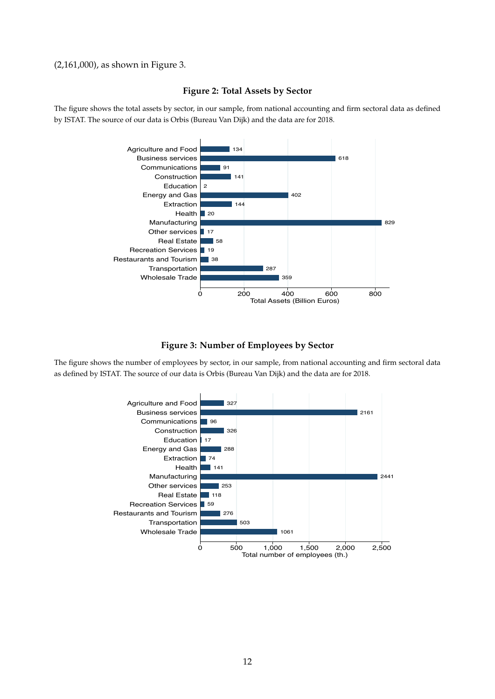## (2,161,000), as shown in Figure 3.

## **Figure 2: Total Assets by Sector**

The figure shows the total assets by sector, in our sample, from national accounting and firm sectoral data as defined by ISTAT. The source of our data is Orbis (Bureau Van Dijk) and the data are for 2018.



## **Figure 3: Number of Employees by Sector**

The figure shows the number of employees by sector, in our sample, from national accounting and firm sectoral data as defined by ISTAT. The source of our data is Orbis (Bureau Van Dijk) and the data are for 2018.

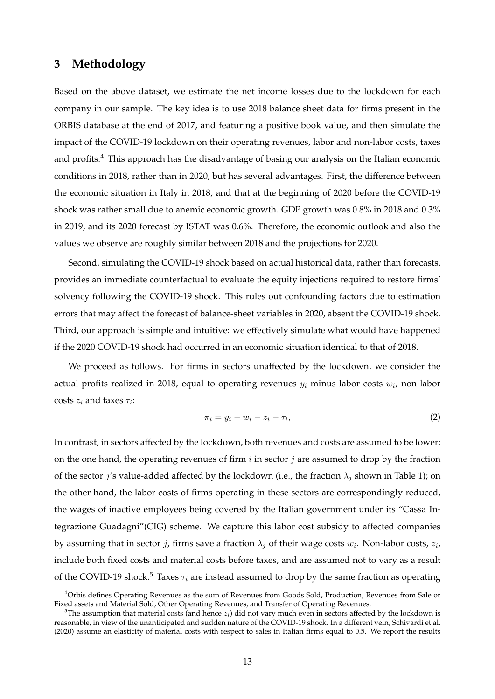# **3 Methodology**

Based on the above dataset, we estimate the net income losses due to the lockdown for each company in our sample. The key idea is to use 2018 balance sheet data for firms present in the ORBIS database at the end of 2017, and featuring a positive book value, and then simulate the impact of the COVID-19 lockdown on their operating revenues, labor and non-labor costs, taxes and profits. $4$  This approach has the disadvantage of basing our analysis on the Italian economic conditions in 2018, rather than in 2020, but has several advantages. First, the difference between the economic situation in Italy in 2018, and that at the beginning of 2020 before the COVID-19 shock was rather small due to anemic economic growth. GDP growth was 0.8% in 2018 and 0.3% in 2019, and its 2020 forecast by ISTAT was 0.6%. Therefore, the economic outlook and also the values we observe are roughly similar between 2018 and the projections for 2020.

Second, simulating the COVID-19 shock based on actual historical data, rather than forecasts, provides an immediate counterfactual to evaluate the equity injections required to restore firms' solvency following the COVID-19 shock. This rules out confounding factors due to estimation errors that may affect the forecast of balance-sheet variables in 2020, absent the COVID-19 shock. Third, our approach is simple and intuitive: we effectively simulate what would have happened if the 2020 COVID-19 shock had occurred in an economic situation identical to that of 2018.

We proceed as follows. For firms in sectors unaffected by the lockdown, we consider the actual profits realized in 2018, equal to operating revenues  $y_i$  minus labor costs  $w_i$ , non-labor costs  $z_i$  and taxes  $\tau_i$ :

$$
\pi_i = y_i - w_i - z_i - \tau_i,\tag{2}
$$

In contrast, in sectors affected by the lockdown, both revenues and costs are assumed to be lower: on the one hand, the operating revenues of firm  $i$  in sector  $j$  are assumed to drop by the fraction of the sector j's value-added affected by the lockdown (i.e., the fraction  $\lambda_j$  shown in Table 1); on the other hand, the labor costs of firms operating in these sectors are correspondingly reduced, the wages of inactive employees being covered by the Italian government under its "Cassa Integrazione Guadagni"(CIG) scheme. We capture this labor cost subsidy to affected companies by assuming that in sector  $j$ , firms save a fraction  $\lambda_j$  of their wage costs  $w_i$ . Non-labor costs,  $z_i$ , include both fixed costs and material costs before taxes, and are assumed not to vary as a result of the COVID-19 shock.<sup>5</sup> Taxes  $\tau_i$  are instead assumed to drop by the same fraction as operating

<sup>4</sup>Orbis defines Operating Revenues as the sum of Revenues from Goods Sold, Production, Revenues from Sale or Fixed assets and Material Sold, Other Operating Revenues, and Transfer of Operating Revenues.

<sup>&</sup>lt;sup>5</sup>The assumption that material costs (and hence  $z_i$ ) did not vary much even in sectors affected by the lockdown is reasonable, in view of the unanticipated and sudden nature of the COVID-19 shock. In a different vein, Schivardi et al. (2020) assume an elasticity of material costs with respect to sales in Italian firms equal to 0.5. We report the results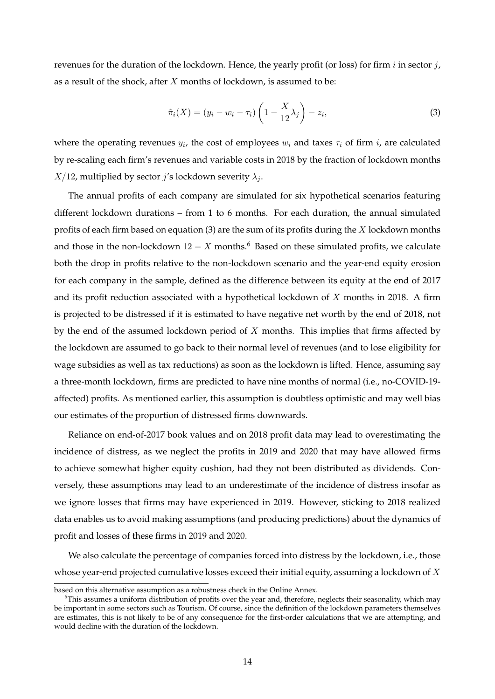revenues for the duration of the lockdown. Hence, the yearly profit (or loss) for firm i in sector j, as a result of the shock, after  $X$  months of lockdown, is assumed to be:

$$
\hat{\pi}_i(X) = (y_i - w_i - \tau_i) \left( 1 - \frac{X}{12} \lambda_j \right) - z_i,
$$
\n(3)

where the operating revenues  $y_i$ , the cost of employees  $w_i$  and taxes  $\tau_i$  of firm  $i$ , are calculated by re-scaling each firm's revenues and variable costs in 2018 by the fraction of lockdown months  $X/12$ , multiplied by sector *j*'s lockdown severity  $\lambda_i$ .

The annual profits of each company are simulated for six hypothetical scenarios featuring different lockdown durations – from 1 to 6 months. For each duration, the annual simulated profits of each firm based on equation  $(3)$  are the sum of its profits during the  $X$  lockdown months and those in the non-lockdown  $12 - X$  months.<sup>6</sup> Based on these simulated profits, we calculate both the drop in profits relative to the non-lockdown scenario and the year-end equity erosion for each company in the sample, defined as the difference between its equity at the end of 2017 and its profit reduction associated with a hypothetical lockdown of  $X$  months in 2018. A firm is projected to be distressed if it is estimated to have negative net worth by the end of 2018, not by the end of the assumed lockdown period of  $X$  months. This implies that firms affected by the lockdown are assumed to go back to their normal level of revenues (and to lose eligibility for wage subsidies as well as tax reductions) as soon as the lockdown is lifted. Hence, assuming say a three-month lockdown, firms are predicted to have nine months of normal (i.e., no-COVID-19 affected) profits. As mentioned earlier, this assumption is doubtless optimistic and may well bias our estimates of the proportion of distressed firms downwards.

Reliance on end-of-2017 book values and on 2018 profit data may lead to overestimating the incidence of distress, as we neglect the profits in 2019 and 2020 that may have allowed firms to achieve somewhat higher equity cushion, had they not been distributed as dividends. Conversely, these assumptions may lead to an underestimate of the incidence of distress insofar as we ignore losses that firms may have experienced in 2019. However, sticking to 2018 realized data enables us to avoid making assumptions (and producing predictions) about the dynamics of profit and losses of these firms in 2019 and 2020.

We also calculate the percentage of companies forced into distress by the lockdown, i.e., those whose year-end projected cumulative losses exceed their initial equity, assuming a lockdown of  $X$ 

based on this alternative assumption as a robustness check in the Online Annex.

 $6$ This assumes a uniform distribution of profits over the year and, therefore, neglects their seasonality, which may be important in some sectors such as Tourism. Of course, since the definition of the lockdown parameters themselves are estimates, this is not likely to be of any consequence for the first-order calculations that we are attempting, and would decline with the duration of the lockdown.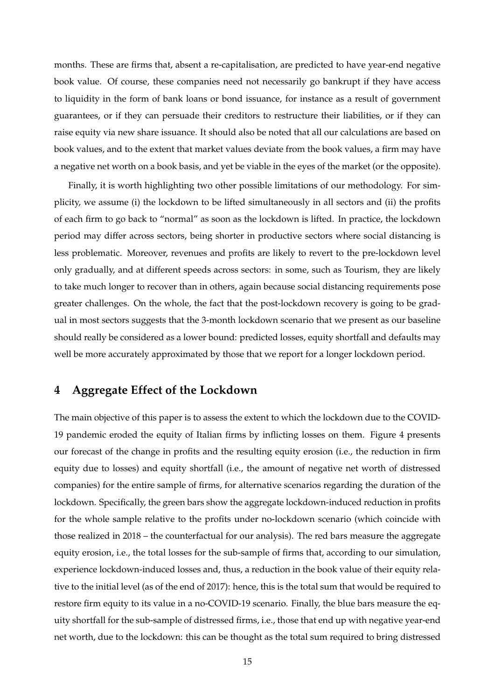months. These are firms that, absent a re-capitalisation, are predicted to have year-end negative book value. Of course, these companies need not necessarily go bankrupt if they have access to liquidity in the form of bank loans or bond issuance, for instance as a result of government guarantees, or if they can persuade their creditors to restructure their liabilities, or if they can raise equity via new share issuance. It should also be noted that all our calculations are based on book values, and to the extent that market values deviate from the book values, a firm may have a negative net worth on a book basis, and yet be viable in the eyes of the market (or the opposite).

Finally, it is worth highlighting two other possible limitations of our methodology. For simplicity, we assume (i) the lockdown to be lifted simultaneously in all sectors and (ii) the profits of each firm to go back to "normal" as soon as the lockdown is lifted. In practice, the lockdown period may differ across sectors, being shorter in productive sectors where social distancing is less problematic. Moreover, revenues and profits are likely to revert to the pre-lockdown level only gradually, and at different speeds across sectors: in some, such as Tourism, they are likely to take much longer to recover than in others, again because social distancing requirements pose greater challenges. On the whole, the fact that the post-lockdown recovery is going to be gradual in most sectors suggests that the 3-month lockdown scenario that we present as our baseline should really be considered as a lower bound: predicted losses, equity shortfall and defaults may well be more accurately approximated by those that we report for a longer lockdown period.

# **4 Aggregate Effect of the Lockdown**

The main objective of this paper is to assess the extent to which the lockdown due to the COVID-19 pandemic eroded the equity of Italian firms by inflicting losses on them. Figure 4 presents our forecast of the change in profits and the resulting equity erosion (i.e., the reduction in firm equity due to losses) and equity shortfall (i.e., the amount of negative net worth of distressed companies) for the entire sample of firms, for alternative scenarios regarding the duration of the lockdown. Specifically, the green bars show the aggregate lockdown-induced reduction in profits for the whole sample relative to the profits under no-lockdown scenario (which coincide with those realized in 2018 – the counterfactual for our analysis). The red bars measure the aggregate equity erosion, i.e., the total losses for the sub-sample of firms that, according to our simulation, experience lockdown-induced losses and, thus, a reduction in the book value of their equity relative to the initial level (as of the end of 2017): hence, this is the total sum that would be required to restore firm equity to its value in a no-COVID-19 scenario. Finally, the blue bars measure the equity shortfall for the sub-sample of distressed firms, i.e., those that end up with negative year-end net worth, due to the lockdown: this can be thought as the total sum required to bring distressed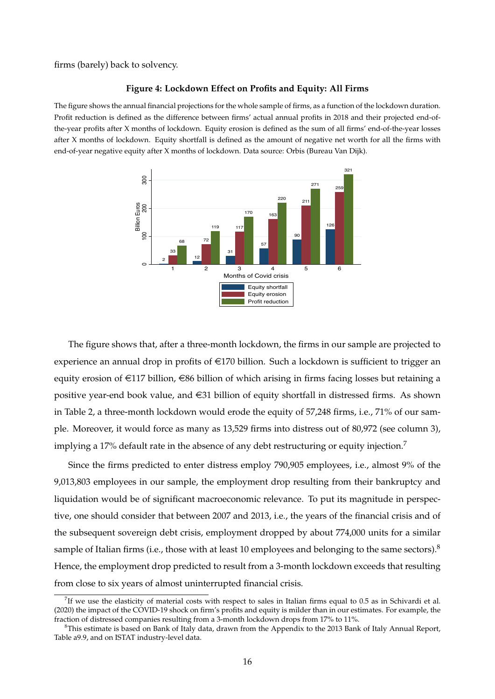firms (barely) back to solvency.

#### **Figure 4: Lockdown Effect on Profits and Equity: All Firms**

The figure shows the annual financial projections for the whole sample of firms, as a function of the lockdown duration. Profit reduction is defined as the difference between firms' actual annual profits in 2018 and their projected end-ofthe-year profits after X months of lockdown. Equity erosion is defined as the sum of all firms' end-of-the-year losses after X months of lockdown. Equity shortfall is defined as the amount of negative net worth for all the firms with end-of-year negative equity after X months of lockdown. Data source: Orbis (Bureau Van Dijk).



The figure shows that, after a three-month lockdown, the firms in our sample are projected to experience an annual drop in profits of  $\epsilon$ 170 billion. Such a lockdown is sufficient to trigger an equity erosion of  $\epsilon$ 117 billion,  $\epsilon$ 86 billion of which arising in firms facing losses but retaining a positive year-end book value, and  $\in$ 31 billion of equity shortfall in distressed firms. As shown in Table 2, a three-month lockdown would erode the equity of 57,248 firms, i.e., 71% of our sample. Moreover, it would force as many as 13,529 firms into distress out of 80,972 (see column 3), implying a 17% default rate in the absence of any debt restructuring or equity injection.<sup>7</sup>

Since the firms predicted to enter distress employ 790,905 employees, i.e., almost 9% of the 9,013,803 employees in our sample, the employment drop resulting from their bankruptcy and liquidation would be of significant macroeconomic relevance. To put its magnitude in perspective, one should consider that between 2007 and 2013, i.e., the years of the financial crisis and of the subsequent sovereign debt crisis, employment dropped by about 774,000 units for a similar sample of Italian firms (i.e., those with at least 10 employees and belonging to the same sectors). $8$ Hence, the employment drop predicted to result from a 3-month lockdown exceeds that resulting from close to six years of almost uninterrupted financial crisis.

 $^{7}$ If we use the elasticity of material costs with respect to sales in Italian firms equal to 0.5 as in Schivardi et al. (2020) the impact of the COVID-19 shock on firm's profits and equity is milder than in our estimates. For example, the fraction of distressed companies resulting from a 3-month lockdown drops from 17% to 11%.

 ${}^{8}$ This estimate is based on Bank of Italy data, drawn from the Appendix to the 2013 Bank of Italy Annual Report, Table a9.9, and on ISTAT industry-level data.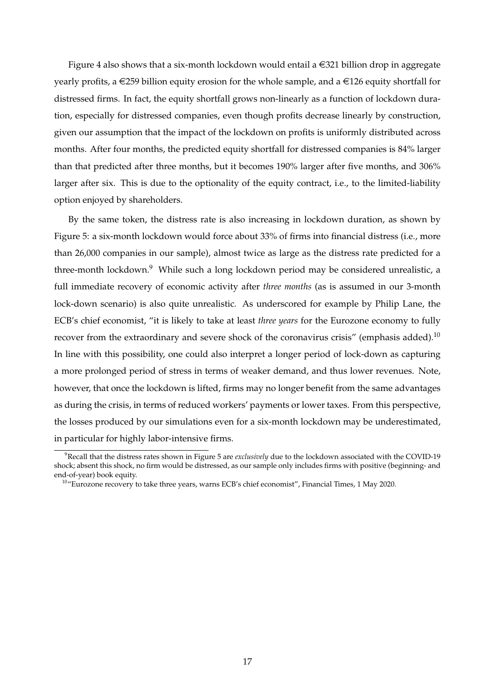Figure 4 also shows that a six-month lockdown would entail a  $\epsilon$ 321 billion drop in aggregate yearly profits, a  $\in$ 259 billion equity erosion for the whole sample, and a  $\in$ 126 equity shortfall for distressed firms. In fact, the equity shortfall grows non-linearly as a function of lockdown duration, especially for distressed companies, even though profits decrease linearly by construction, given our assumption that the impact of the lockdown on profits is uniformly distributed across months. After four months, the predicted equity shortfall for distressed companies is 84% larger than that predicted after three months, but it becomes 190% larger after five months, and 306% larger after six. This is due to the optionality of the equity contract, i.e., to the limited-liability option enjoyed by shareholders.

By the same token, the distress rate is also increasing in lockdown duration, as shown by Figure 5: a six-month lockdown would force about 33% of firms into financial distress (i.e., more than 26,000 companies in our sample), almost twice as large as the distress rate predicted for a three-month lockdown. $9$  While such a long lockdown period may be considered unrealistic, a full immediate recovery of economic activity after *three months* (as is assumed in our 3-month lock-down scenario) is also quite unrealistic. As underscored for example by Philip Lane, the ECB's chief economist, "it is likely to take at least *three years* for the Eurozone economy to fully recover from the extraordinary and severe shock of the coronavirus crisis" (emphasis added).<sup>10</sup> In line with this possibility, one could also interpret a longer period of lock-down as capturing a more prolonged period of stress in terms of weaker demand, and thus lower revenues. Note, however, that once the lockdown is lifted, firms may no longer benefit from the same advantages as during the crisis, in terms of reduced workers' payments or lower taxes. From this perspective, the losses produced by our simulations even for a six-month lockdown may be underestimated, in particular for highly labor-intensive firms.

<sup>9</sup>Recall that the distress rates shown in Figure 5 are *exclusively* due to the lockdown associated with the COVID-19 shock; absent this shock, no firm would be distressed, as our sample only includes firms with positive (beginning- and end-of-year) book equity.

<sup>&</sup>lt;sup>10</sup>"Eurozone recovery to take three years, warns ECB's chief economist", Financial Times, 1 May 2020.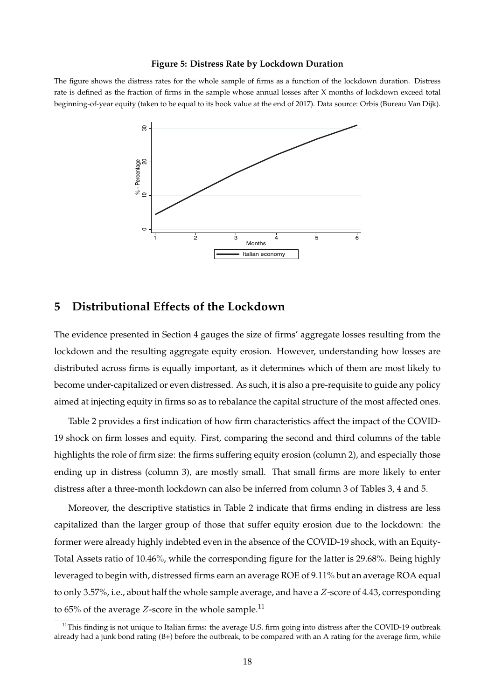#### **Figure 5: Distress Rate by Lockdown Duration**

The figure shows the distress rates for the whole sample of firms as a function of the lockdown duration. Distress rate is defined as the fraction of firms in the sample whose annual losses after X months of lockdown exceed total beginning-of-year equity (taken to be equal to its book value at the end of 2017). Data source: Orbis (Bureau Van Dijk).



# **5 Distributional Effects of the Lockdown**

The evidence presented in Section 4 gauges the size of firms' aggregate losses resulting from the lockdown and the resulting aggregate equity erosion. However, understanding how losses are distributed across firms is equally important, as it determines which of them are most likely to become under-capitalized or even distressed. As such, it is also a pre-requisite to guide any policy aimed at injecting equity in firms so as to rebalance the capital structure of the most affected ones.

Table 2 provides a first indication of how firm characteristics affect the impact of the COVID-19 shock on firm losses and equity. First, comparing the second and third columns of the table highlights the role of firm size: the firms suffering equity erosion (column 2), and especially those ending up in distress (column 3), are mostly small. That small firms are more likely to enter distress after a three-month lockdown can also be inferred from column 3 of Tables 3, 4 and 5.

Moreover, the descriptive statistics in Table 2 indicate that firms ending in distress are less capitalized than the larger group of those that suffer equity erosion due to the lockdown: the former were already highly indebted even in the absence of the COVID-19 shock, with an Equity-Total Assets ratio of 10.46%, while the corresponding figure for the latter is 29.68%. Being highly leveraged to begin with, distressed firms earn an average ROE of 9.11% but an average ROA equal to only 3.57%, i.e., about half the whole sample average, and have a Z-score of 4.43, corresponding to 65% of the average Z-score in the whole sample.<sup>11</sup>

 $11$ This finding is not unique to Italian firms: the average U.S. firm going into distress after the COVID-19 outbreak already had a junk bond rating (B+) before the outbreak, to be compared with an A rating for the average firm, while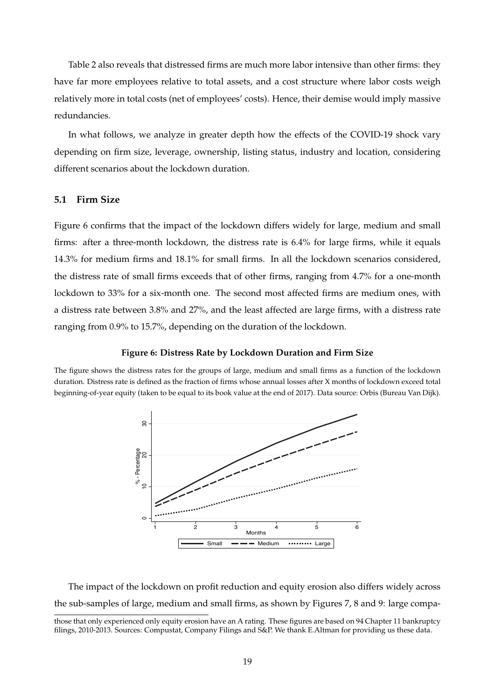Table 2 also reveals that distressed firms are much more labor intensive than other firms: they have far more employees relative to total assets, and a cost structure where labor costs weigh relatively more in total costs (net of employees' costs). Hence, their demise would imply massive redundancies.

In what follows, we analyze in greater depth how the effects of the COVID-19 shock vary depending on firm size, leverage, ownership, listing status, industry and location, considering different scenarios about the lockdown duration.

## **5.1 Firm Size**

Figure 6 confirms that the impact of the lockdown differs widely for large, medium and small firms: after a three-month lockdown, the distress rate is 6.4% for large firms, while it equals 14.3% for medium firms and 18.1% for small firms. In all the lockdown scenarios considered, the distress rate of small firms exceeds that of other firms, ranging from 4.7% for a one-month lockdown to 33% for a six-month one. The second most affected firms are medium ones, with a distress rate between 3.8% and 27%, and the least affected are large firms, with a distress rate ranging from 0.9% to 15.7%, depending on the duration of the lockdown.

#### **Figure 6: Distress Rate by Lockdown Duration and Firm Size**

The figure shows the distress rates for the groups of large, medium and small firms as a function of the lockdown duration. Distress rate is defined as the fraction of firms whose annual losses after X months of lockdown exceed total beginning-of-year equity (taken to be equal to its book value at the end of 2017). Data source: Orbis (Bureau Van Dijk).



The impact of the lockdown on profit reduction and equity erosion also differs widely across the sub-samples of large, medium and small firms, as shown by Figures 7, 8 and 9: large compa-

those that only experienced only equity erosion have an A rating. These figures are based on 94 Chapter 11 bankruptcy filings, 2010-2013. Sources: Compustat, Company Filings and S&P. We thank E.Altman for providing us these data.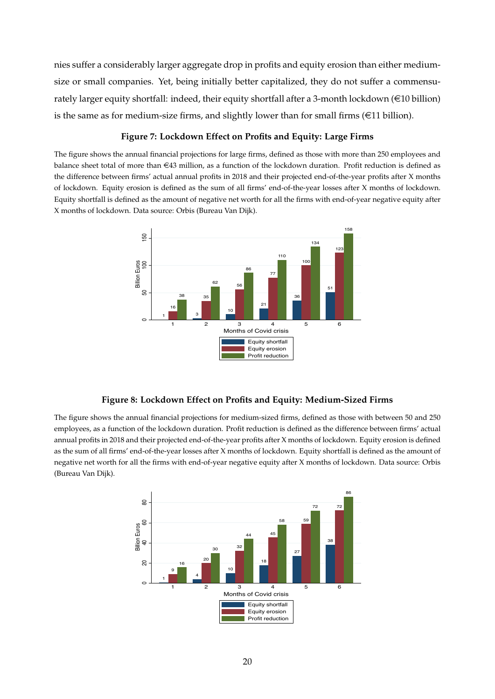nies suffer a considerably larger aggregate drop in profits and equity erosion than either mediumsize or small companies. Yet, being initially better capitalized, they do not suffer a commensurately larger equity shortfall: indeed, their equity shortfall after a 3-month lockdown  $(\infty 10$  billion) is the same as for medium-size firms, and slightly lower than for small firms  $(€11$  billion).

## **Figure 7: Lockdown Effect on Profits and Equity: Large Firms**

The figure shows the annual financial projections for large firms, defined as those with more than 250 employees and balance sheet total of more than  $\in$ 43 million, as a function of the lockdown duration. Profit reduction is defined as the difference between firms' actual annual profits in 2018 and their projected end-of-the-year profits after X months of lockdown. Equity erosion is defined as the sum of all firms' end-of-the-year losses after X months of lockdown. Equity shortfall is defined as the amount of negative net worth for all the firms with end-of-year negative equity after X months of lockdown. Data source: Orbis (Bureau Van Dijk).



#### **Figure 8: Lockdown Effect on Profits and Equity: Medium-Sized Firms**

The figure shows the annual financial projections for medium-sized firms, defined as those with between 50 and 250 employees, as a function of the lockdown duration. Profit reduction is defined as the difference between firms' actual annual profits in 2018 and their projected end-of-the-year profits after X months of lockdown. Equity erosion is defined as the sum of all firms' end-of-the-year losses after X months of lockdown. Equity shortfall is defined as the amount of negative net worth for all the firms with end-of-year negative equity after X months of lockdown. Data source: Orbis (Bureau Van Dijk).

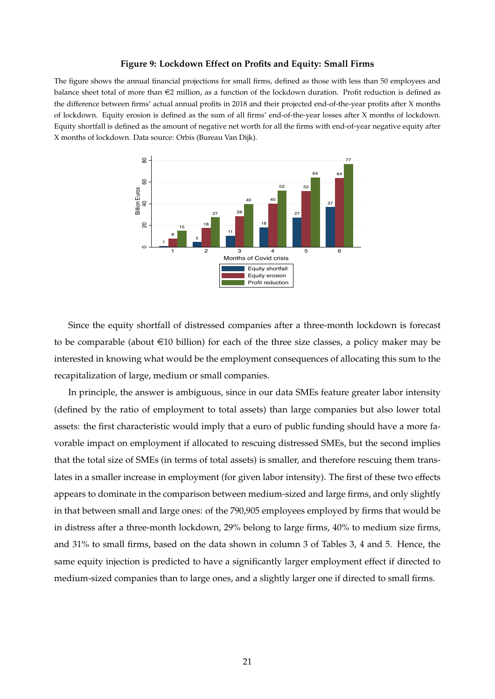#### **Figure 9: Lockdown Effect on Profits and Equity: Small Firms**

The figure shows the annual financial projections for small firms, defined as those with less than 50 employees and balance sheet total of more than  $\epsilon$ 2 million, as a function of the lockdown duration. Profit reduction is defined as the difference between firms' actual annual profits in 2018 and their projected end-of-the-year profits after X months of lockdown. Equity erosion is defined as the sum of all firms' end-of-the-year losses after X months of lockdown. Equity shortfall is defined as the amount of negative net worth for all the firms with end-of-year negative equity after X months of lockdown. Data source: Orbis (Bureau Van Dijk).



Since the equity shortfall of distressed companies after a three-month lockdown is forecast to be comparable (about  $\in$ 10 billion) for each of the three size classes, a policy maker may be interested in knowing what would be the employment consequences of allocating this sum to the recapitalization of large, medium or small companies.

In principle, the answer is ambiguous, since in our data SMEs feature greater labor intensity (defined by the ratio of employment to total assets) than large companies but also lower total assets: the first characteristic would imply that a euro of public funding should have a more favorable impact on employment if allocated to rescuing distressed SMEs, but the second implies that the total size of SMEs (in terms of total assets) is smaller, and therefore rescuing them translates in a smaller increase in employment (for given labor intensity). The first of these two effects appears to dominate in the comparison between medium-sized and large firms, and only slightly in that between small and large ones: of the 790,905 employees employed by firms that would be in distress after a three-month lockdown, 29% belong to large firms, 40% to medium size firms, and 31% to small firms, based on the data shown in column 3 of Tables 3, 4 and 5. Hence, the same equity injection is predicted to have a significantly larger employment effect if directed to medium-sized companies than to large ones, and a slightly larger one if directed to small firms.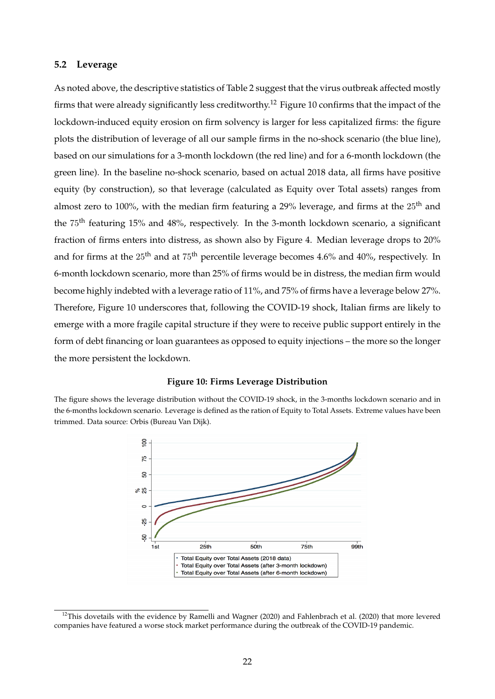## **5.2 Leverage**

As noted above, the descriptive statistics of Table 2 suggest that the virus outbreak affected mostly firms that were already significantly less creditworthy.<sup>12</sup> Figure 10 confirms that the impact of the lockdown-induced equity erosion on firm solvency is larger for less capitalized firms: the figure plots the distribution of leverage of all our sample firms in the no-shock scenario (the blue line), based on our simulations for a 3-month lockdown (the red line) and for a 6-month lockdown (the green line). In the baseline no-shock scenario, based on actual 2018 data, all firms have positive equity (by construction), so that leverage (calculated as Equity over Total assets) ranges from almost zero to 100%, with the median firm featuring a 29% leverage, and firms at the  $25<sup>th</sup>$  and the 75<sup>th</sup> featuring 15% and 48%, respectively. In the 3-month lockdown scenario, a significant fraction of firms enters into distress, as shown also by Figure 4. Median leverage drops to 20% and for firms at the  $25<sup>th</sup>$  and at  $75<sup>th</sup>$  percentile leverage becomes 4.6% and 40%, respectively. In 6-month lockdown scenario, more than 25% of firms would be in distress, the median firm would become highly indebted with a leverage ratio of 11%, and 75% of firms have a leverage below 27%. Therefore, Figure 10 underscores that, following the COVID-19 shock, Italian firms are likely to emerge with a more fragile capital structure if they were to receive public support entirely in the form of debt financing or loan guarantees as opposed to equity injections – the more so the longer the more persistent the lockdown.

#### **Figure 10: Firms Leverage Distribution**

The figure shows the leverage distribution without the COVID-19 shock, in the 3-months lockdown scenario and in the 6-months lockdown scenario. Leverage is defined as the ration of Equity to Total Assets. Extreme values have been trimmed. Data source: Orbis (Bureau Van Dijk).



 $12$ This dovetails with the evidence by Ramelli and Wagner (2020) and Fahlenbrach et al. (2020) that more levered companies have featured a worse stock market performance during the outbreak of the COVID-19 pandemic.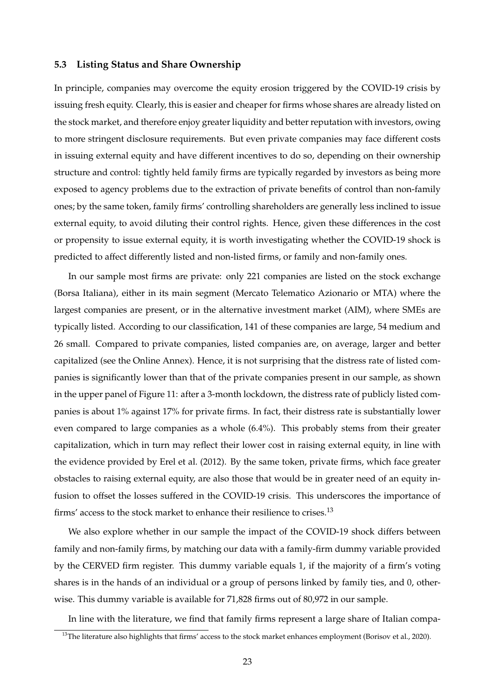### **5.3 Listing Status and Share Ownership**

In principle, companies may overcome the equity erosion triggered by the COVID-19 crisis by issuing fresh equity. Clearly, this is easier and cheaper for firms whose shares are already listed on the stock market, and therefore enjoy greater liquidity and better reputation with investors, owing to more stringent disclosure requirements. But even private companies may face different costs in issuing external equity and have different incentives to do so, depending on their ownership structure and control: tightly held family firms are typically regarded by investors as being more exposed to agency problems due to the extraction of private benefits of control than non-family ones; by the same token, family firms' controlling shareholders are generally less inclined to issue external equity, to avoid diluting their control rights. Hence, given these differences in the cost or propensity to issue external equity, it is worth investigating whether the COVID-19 shock is predicted to affect differently listed and non-listed firms, or family and non-family ones.

In our sample most firms are private: only 221 companies are listed on the stock exchange (Borsa Italiana), either in its main segment (Mercato Telematico Azionario or MTA) where the largest companies are present, or in the alternative investment market (AIM), where SMEs are typically listed. According to our classification, 141 of these companies are large, 54 medium and 26 small. Compared to private companies, listed companies are, on average, larger and better capitalized (see the Online Annex). Hence, it is not surprising that the distress rate of listed companies is significantly lower than that of the private companies present in our sample, as shown in the upper panel of Figure 11: after a 3-month lockdown, the distress rate of publicly listed companies is about 1% against 17% for private firms. In fact, their distress rate is substantially lower even compared to large companies as a whole (6.4%). This probably stems from their greater capitalization, which in turn may reflect their lower cost in raising external equity, in line with the evidence provided by Erel et al. (2012). By the same token, private firms, which face greater obstacles to raising external equity, are also those that would be in greater need of an equity infusion to offset the losses suffered in the COVID-19 crisis. This underscores the importance of firms' access to the stock market to enhance their resilience to crises.<sup>13</sup>

We also explore whether in our sample the impact of the COVID-19 shock differs between family and non-family firms, by matching our data with a family-firm dummy variable provided by the CERVED firm register. This dummy variable equals 1, if the majority of a firm's voting shares is in the hands of an individual or a group of persons linked by family ties, and 0, otherwise. This dummy variable is available for 71,828 firms out of 80,972 in our sample.

In line with the literature, we find that family firms represent a large share of Italian compa-

<sup>&</sup>lt;sup>13</sup>The literature also highlights that firms' access to the stock market enhances employment (Borisov et al., 2020).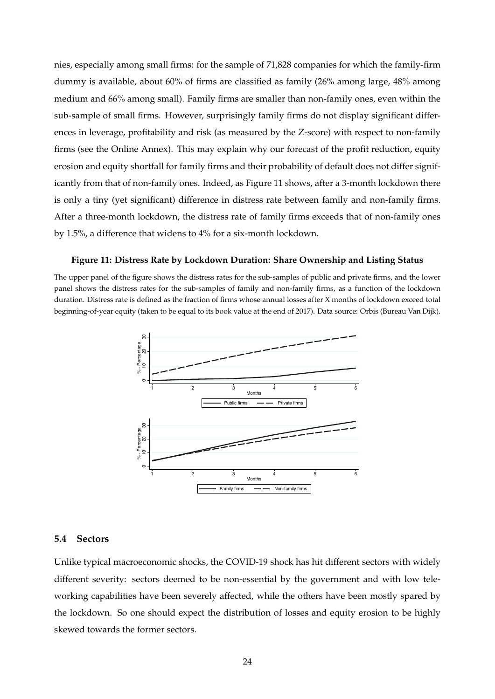nies, especially among small firms: for the sample of 71,828 companies for which the family-firm dummy is available, about 60% of firms are classified as family (26% among large, 48% among medium and 66% among small). Family firms are smaller than non-family ones, even within the sub-sample of small firms. However, surprisingly family firms do not display significant differences in leverage, profitability and risk (as measured by the Z-score) with respect to non-family firms (see the Online Annex). This may explain why our forecast of the profit reduction, equity erosion and equity shortfall for family firms and their probability of default does not differ significantly from that of non-family ones. Indeed, as Figure 11 shows, after a 3-month lockdown there is only a tiny (yet significant) difference in distress rate between family and non-family firms. After a three-month lockdown, the distress rate of family firms exceeds that of non-family ones by 1.5%, a difference that widens to 4% for a six-month lockdown.

#### **Figure 11: Distress Rate by Lockdown Duration: Share Ownership and Listing Status**

The upper panel of the figure shows the distress rates for the sub-samples of public and private firms, and the lower panel shows the distress rates for the sub-samples of family and non-family firms, as a function of the lockdown duration. Distress rate is defined as the fraction of firms whose annual losses after X months of lockdown exceed total beginning-of-year equity (taken to be equal to its book value at the end of 2017). Data source: Orbis (Bureau Van Dijk).



#### **5.4 Sectors**

Unlike typical macroeconomic shocks, the COVID-19 shock has hit different sectors with widely different severity: sectors deemed to be non-essential by the government and with low teleworking capabilities have been severely affected, while the others have been mostly spared by the lockdown. So one should expect the distribution of losses and equity erosion to be highly skewed towards the former sectors.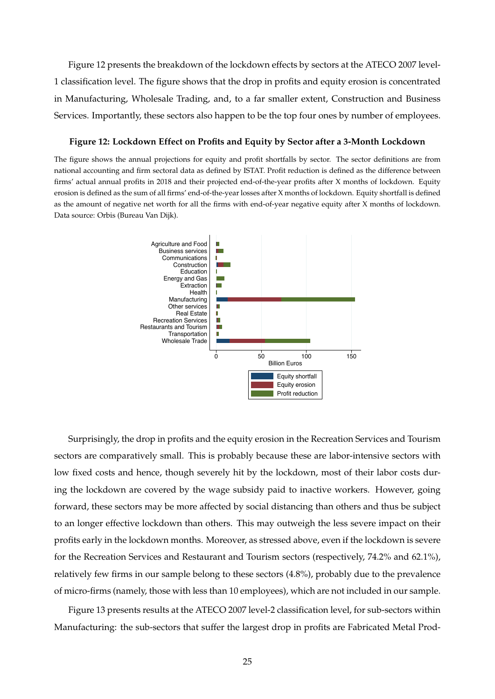Figure 12 presents the breakdown of the lockdown effects by sectors at the ATECO 2007 level-1 classification level. The figure shows that the drop in profits and equity erosion is concentrated in Manufacturing, Wholesale Trading, and, to a far smaller extent, Construction and Business Services. Importantly, these sectors also happen to be the top four ones by number of employees.

#### **Figure 12: Lockdown Effect on Profits and Equity by Sector after a 3-Month Lockdown**

The figure shows the annual projections for equity and profit shortfalls by sector. The sector definitions are from national accounting and firm sectoral data as defined by ISTAT. Profit reduction is defined as the difference between firms' actual annual profits in 2018 and their projected end-of-the-year profits after X months of lockdown. Equity erosion is defined as the sum of all firms' end-of-the-year losses after X months of lockdown. Equity shortfall is defined as the amount of negative net worth for all the firms with end-of-year negative equity after X months of lockdown. Data source: Orbis (Bureau Van Dijk).



Surprisingly, the drop in profits and the equity erosion in the Recreation Services and Tourism sectors are comparatively small. This is probably because these are labor-intensive sectors with low fixed costs and hence, though severely hit by the lockdown, most of their labor costs during the lockdown are covered by the wage subsidy paid to inactive workers. However, going forward, these sectors may be more affected by social distancing than others and thus be subject to an longer effective lockdown than others. This may outweigh the less severe impact on their profits early in the lockdown months. Moreover, as stressed above, even if the lockdown is severe for the Recreation Services and Restaurant and Tourism sectors (respectively, 74.2% and 62.1%), relatively few firms in our sample belong to these sectors (4.8%), probably due to the prevalence of micro-firms (namely, those with less than 10 employees), which are not included in our sample.

Figure 13 presents results at the ATECO 2007 level-2 classification level, for sub-sectors within Manufacturing: the sub-sectors that suffer the largest drop in profits are Fabricated Metal Prod-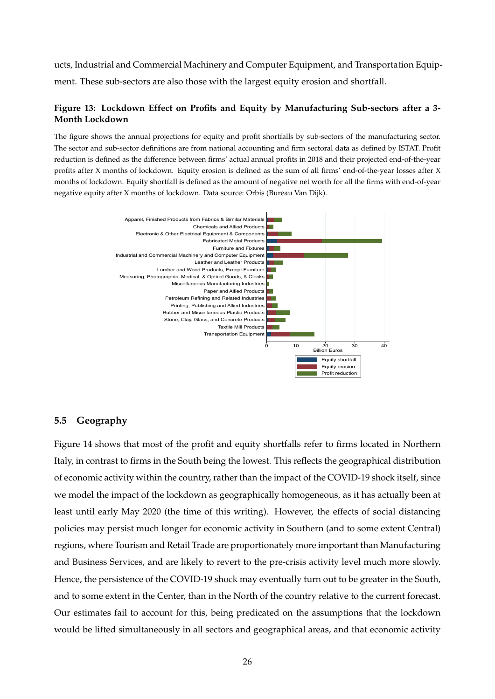ucts, Industrial and Commercial Machinery and Computer Equipment, and Transportation Equipment. These sub-sectors are also those with the largest equity erosion and shortfall.

## **Figure 13: Lockdown Effect on Profits and Equity by Manufacturing Sub-sectors after a 3- Month Lockdown**

The figure shows the annual projections for equity and profit shortfalls by sub-sectors of the manufacturing sector. The sector and sub-sector definitions are from national accounting and firm sectoral data as defined by ISTAT. Profit reduction is defined as the difference between firms' actual annual profits in 2018 and their projected end-of-the-year profits after X months of lockdown. Equity erosion is defined as the sum of all firms' end-of-the-year losses after X months of lockdown. Equity shortfall is defined as the amount of negative net worth for all the firms with end-of-year negative equity after X months of lockdown. Data source: Orbis (Bureau Van Dijk).



## **5.5 Geography**

Figure 14 shows that most of the profit and equity shortfalls refer to firms located in Northern Italy, in contrast to firms in the South being the lowest. This reflects the geographical distribution of economic activity within the country, rather than the impact of the COVID-19 shock itself, since we model the impact of the lockdown as geographically homogeneous, as it has actually been at least until early May 2020 (the time of this writing). However, the effects of social distancing policies may persist much longer for economic activity in Southern (and to some extent Central) regions, where Tourism and Retail Trade are proportionately more important than Manufacturing and Business Services, and are likely to revert to the pre-crisis activity level much more slowly. Hence, the persistence of the COVID-19 shock may eventually turn out to be greater in the South, and to some extent in the Center, than in the North of the country relative to the current forecast. Our estimates fail to account for this, being predicated on the assumptions that the lockdown would be lifted simultaneously in all sectors and geographical areas, and that economic activity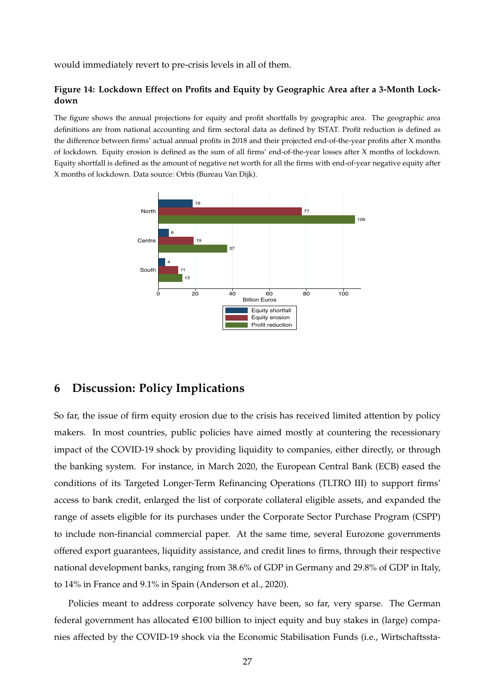would immediately revert to pre-crisis levels in all of them.

## **Figure 14: Lockdown Effect on Profits and Equity by Geographic Area after a 3-Month Lockdown**

The figure shows the annual projections for equity and profit shortfalls by geographic area. The geographic area definitions are from national accounting and firm sectoral data as defined by ISTAT. Profit reduction is defined as the difference between firms' actual annual profits in 2018 and their projected end-of-the-year profits after X months of lockdown. Equity erosion is defined as the sum of all firms' end-of-the-year losses after X months of lockdown. Equity shortfall is defined as the amount of negative net worth for all the firms with end-of-year negative equity after X months of lockdown. Data source: Orbis (Bureau Van Dijk).



# **6 Discussion: Policy Implications**

So far, the issue of firm equity erosion due to the crisis has received limited attention by policy makers. In most countries, public policies have aimed mostly at countering the recessionary impact of the COVID-19 shock by providing liquidity to companies, either directly, or through the banking system. For instance, in March 2020, the European Central Bank (ECB) eased the conditions of its Targeted Longer-Term Refinancing Operations (TLTRO III) to support firms' access to bank credit, enlarged the list of corporate collateral eligible assets, and expanded the range of assets eligible for its purchases under the Corporate Sector Purchase Program (CSPP) to include non-financial commercial paper. At the same time, several Eurozone governments offered export guarantees, liquidity assistance, and credit lines to firms, through their respective national development banks, ranging from 38.6% of GDP in Germany and 29.8% of GDP in Italy, to 14% in France and 9.1% in Spain (Anderson et al., 2020).

Policies meant to address corporate solvency have been, so far, very sparse. The German federal government has allocated  $\in$  100 billion to inject equity and buy stakes in (large) companies affected by the COVID-19 shock via the Economic Stabilisation Funds (i.e., Wirtschaftssta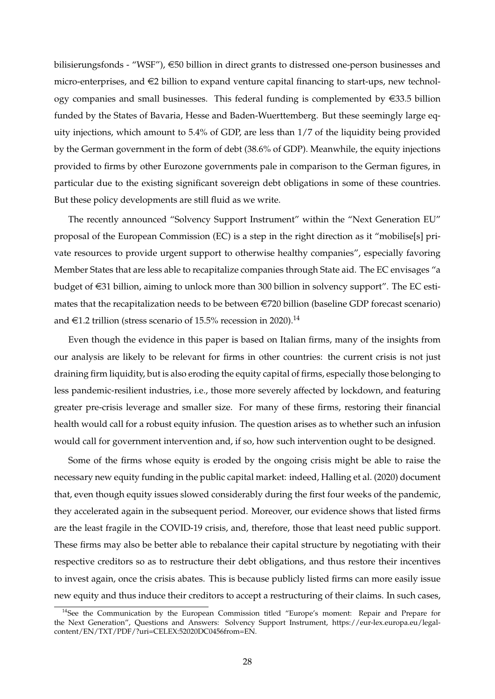bilisierungsfonds - "WSF"),  $\in$ 50 billion in direct grants to distressed one-person businesses and micro-enterprises, and  $\notin$ 2 billion to expand venture capital financing to start-ups, new technology companies and small businesses. This federal funding is complemented by  $\epsilon$ 33.5 billion funded by the States of Bavaria, Hesse and Baden-Wuerttemberg. But these seemingly large equity injections, which amount to 5.4% of GDP, are less than 1/7 of the liquidity being provided by the German government in the form of debt (38.6% of GDP). Meanwhile, the equity injections provided to firms by other Eurozone governments pale in comparison to the German figures, in particular due to the existing significant sovereign debt obligations in some of these countries. But these policy developments are still fluid as we write.

The recently announced "Solvency Support Instrument" within the "Next Generation EU" proposal of the European Commission (EC) is a step in the right direction as it "mobilise[s] private resources to provide urgent support to otherwise healthy companies", especially favoring Member States that are less able to recapitalize companies through State aid. The EC envisages "a budget of  $\in$ 31 billion, aiming to unlock more than 300 billion in solvency support". The EC estimates that the recapitalization needs to be between  $\in 720$  billion (baseline GDP forecast scenario) and  $\in$ 1.2 trillion (stress scenario of 15.5% recession in 2020).<sup>14</sup>

Even though the evidence in this paper is based on Italian firms, many of the insights from our analysis are likely to be relevant for firms in other countries: the current crisis is not just draining firm liquidity, but is also eroding the equity capital of firms, especially those belonging to less pandemic-resilient industries, i.e., those more severely affected by lockdown, and featuring greater pre-crisis leverage and smaller size. For many of these firms, restoring their financial health would call for a robust equity infusion. The question arises as to whether such an infusion would call for government intervention and, if so, how such intervention ought to be designed.

Some of the firms whose equity is eroded by the ongoing crisis might be able to raise the necessary new equity funding in the public capital market: indeed, Halling et al. (2020) document that, even though equity issues slowed considerably during the first four weeks of the pandemic, they accelerated again in the subsequent period. Moreover, our evidence shows that listed firms are the least fragile in the COVID-19 crisis, and, therefore, those that least need public support. These firms may also be better able to rebalance their capital structure by negotiating with their respective creditors so as to restructure their debt obligations, and thus restore their incentives to invest again, once the crisis abates. This is because publicly listed firms can more easily issue new equity and thus induce their creditors to accept a restructuring of their claims. In such cases,

<sup>&</sup>lt;sup>14</sup>See the Communication by the European Commission titled "Europe's moment: Repair and Prepare for the Next Generation", Questions and Answers: Solvency Support Instrument, https://eur-lex.europa.eu/legalcontent/EN/TXT/PDF/?uri=CELEX:52020DC0456from=EN.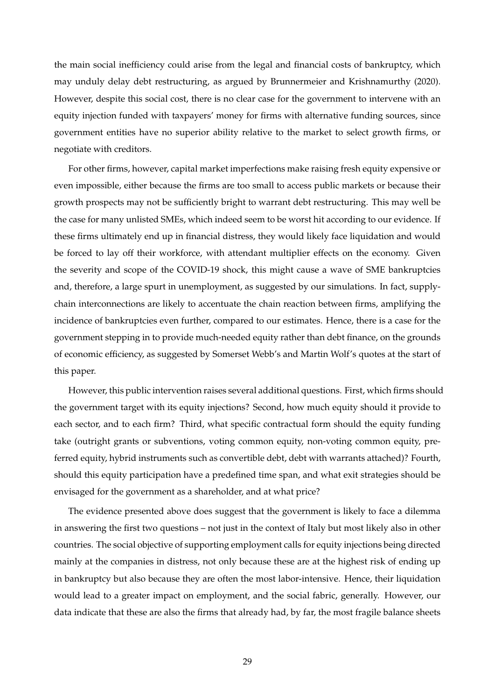the main social inefficiency could arise from the legal and financial costs of bankruptcy, which may unduly delay debt restructuring, as argued by Brunnermeier and Krishnamurthy (2020). However, despite this social cost, there is no clear case for the government to intervene with an equity injection funded with taxpayers' money for firms with alternative funding sources, since government entities have no superior ability relative to the market to select growth firms, or negotiate with creditors.

For other firms, however, capital market imperfections make raising fresh equity expensive or even impossible, either because the firms are too small to access public markets or because their growth prospects may not be sufficiently bright to warrant debt restructuring. This may well be the case for many unlisted SMEs, which indeed seem to be worst hit according to our evidence. If these firms ultimately end up in financial distress, they would likely face liquidation and would be forced to lay off their workforce, with attendant multiplier effects on the economy. Given the severity and scope of the COVID-19 shock, this might cause a wave of SME bankruptcies and, therefore, a large spurt in unemployment, as suggested by our simulations. In fact, supplychain interconnections are likely to accentuate the chain reaction between firms, amplifying the incidence of bankruptcies even further, compared to our estimates. Hence, there is a case for the government stepping in to provide much-needed equity rather than debt finance, on the grounds of economic efficiency, as suggested by Somerset Webb's and Martin Wolf's quotes at the start of this paper.

However, this public intervention raises several additional questions. First, which firms should the government target with its equity injections? Second, how much equity should it provide to each sector, and to each firm? Third, what specific contractual form should the equity funding take (outright grants or subventions, voting common equity, non-voting common equity, preferred equity, hybrid instruments such as convertible debt, debt with warrants attached)? Fourth, should this equity participation have a predefined time span, and what exit strategies should be envisaged for the government as a shareholder, and at what price?

The evidence presented above does suggest that the government is likely to face a dilemma in answering the first two questions – not just in the context of Italy but most likely also in other countries. The social objective of supporting employment calls for equity injections being directed mainly at the companies in distress, not only because these are at the highest risk of ending up in bankruptcy but also because they are often the most labor-intensive. Hence, their liquidation would lead to a greater impact on employment, and the social fabric, generally. However, our data indicate that these are also the firms that already had, by far, the most fragile balance sheets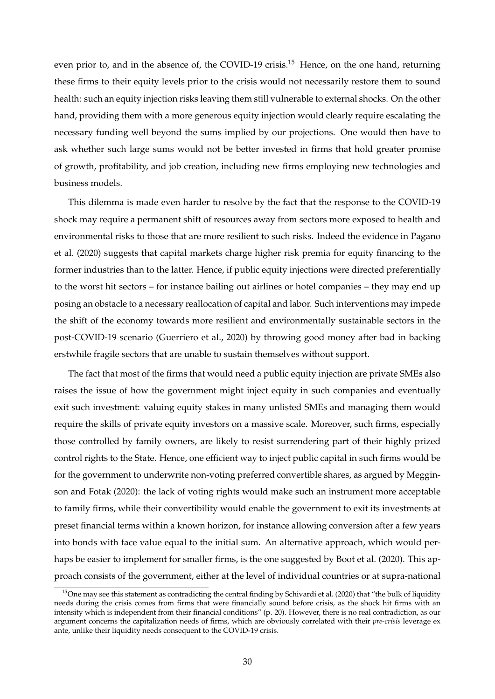even prior to, and in the absence of, the COVID-19 crisis.<sup>15</sup> Hence, on the one hand, returning these firms to their equity levels prior to the crisis would not necessarily restore them to sound health: such an equity injection risks leaving them still vulnerable to external shocks. On the other hand, providing them with a more generous equity injection would clearly require escalating the necessary funding well beyond the sums implied by our projections. One would then have to ask whether such large sums would not be better invested in firms that hold greater promise of growth, profitability, and job creation, including new firms employing new technologies and business models.

This dilemma is made even harder to resolve by the fact that the response to the COVID-19 shock may require a permanent shift of resources away from sectors more exposed to health and environmental risks to those that are more resilient to such risks. Indeed the evidence in Pagano et al. (2020) suggests that capital markets charge higher risk premia for equity financing to the former industries than to the latter. Hence, if public equity injections were directed preferentially to the worst hit sectors – for instance bailing out airlines or hotel companies – they may end up posing an obstacle to a necessary reallocation of capital and labor. Such interventions may impede the shift of the economy towards more resilient and environmentally sustainable sectors in the post-COVID-19 scenario (Guerriero et al., 2020) by throwing good money after bad in backing erstwhile fragile sectors that are unable to sustain themselves without support.

The fact that most of the firms that would need a public equity injection are private SMEs also raises the issue of how the government might inject equity in such companies and eventually exit such investment: valuing equity stakes in many unlisted SMEs and managing them would require the skills of private equity investors on a massive scale. Moreover, such firms, especially those controlled by family owners, are likely to resist surrendering part of their highly prized control rights to the State. Hence, one efficient way to inject public capital in such firms would be for the government to underwrite non-voting preferred convertible shares, as argued by Megginson and Fotak (2020): the lack of voting rights would make such an instrument more acceptable to family firms, while their convertibility would enable the government to exit its investments at preset financial terms within a known horizon, for instance allowing conversion after a few years into bonds with face value equal to the initial sum. An alternative approach, which would perhaps be easier to implement for smaller firms, is the one suggested by Boot et al. (2020). This approach consists of the government, either at the level of individual countries or at supra-national

<sup>&</sup>lt;sup>15</sup>One may see this statement as contradicting the central finding by Schivardi et al. (2020) that "the bulk of liquidity needs during the crisis comes from firms that were financially sound before crisis, as the shock hit firms with an intensity which is independent from their financial conditions" (p. 20). However, there is no real contradiction, as our argument concerns the capitalization needs of firms, which are obviously correlated with their *pre-crisis* leverage ex ante, unlike their liquidity needs consequent to the COVID-19 crisis.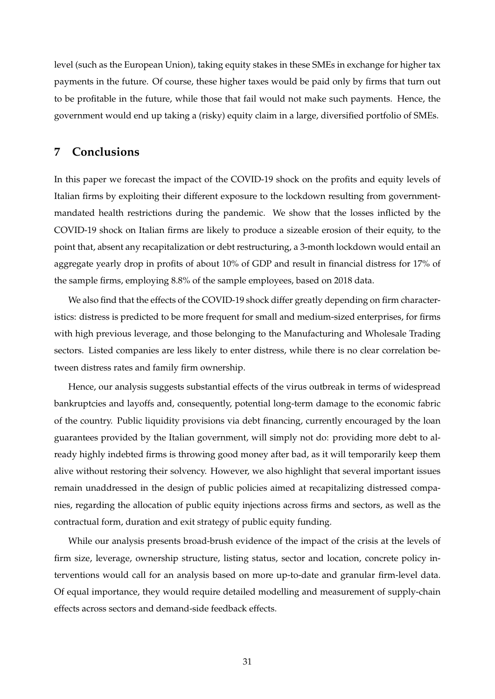level (such as the European Union), taking equity stakes in these SMEs in exchange for higher tax payments in the future. Of course, these higher taxes would be paid only by firms that turn out to be profitable in the future, while those that fail would not make such payments. Hence, the government would end up taking a (risky) equity claim in a large, diversified portfolio of SMEs.

# **7 Conclusions**

In this paper we forecast the impact of the COVID-19 shock on the profits and equity levels of Italian firms by exploiting their different exposure to the lockdown resulting from governmentmandated health restrictions during the pandemic. We show that the losses inflicted by the COVID-19 shock on Italian firms are likely to produce a sizeable erosion of their equity, to the point that, absent any recapitalization or debt restructuring, a 3-month lockdown would entail an aggregate yearly drop in profits of about 10% of GDP and result in financial distress for 17% of the sample firms, employing 8.8% of the sample employees, based on 2018 data.

We also find that the effects of the COVID-19 shock differ greatly depending on firm characteristics: distress is predicted to be more frequent for small and medium-sized enterprises, for firms with high previous leverage, and those belonging to the Manufacturing and Wholesale Trading sectors. Listed companies are less likely to enter distress, while there is no clear correlation between distress rates and family firm ownership.

Hence, our analysis suggests substantial effects of the virus outbreak in terms of widespread bankruptcies and layoffs and, consequently, potential long-term damage to the economic fabric of the country. Public liquidity provisions via debt financing, currently encouraged by the loan guarantees provided by the Italian government, will simply not do: providing more debt to already highly indebted firms is throwing good money after bad, as it will temporarily keep them alive without restoring their solvency. However, we also highlight that several important issues remain unaddressed in the design of public policies aimed at recapitalizing distressed companies, regarding the allocation of public equity injections across firms and sectors, as well as the contractual form, duration and exit strategy of public equity funding.

While our analysis presents broad-brush evidence of the impact of the crisis at the levels of firm size, leverage, ownership structure, listing status, sector and location, concrete policy interventions would call for an analysis based on more up-to-date and granular firm-level data. Of equal importance, they would require detailed modelling and measurement of supply-chain effects across sectors and demand-side feedback effects.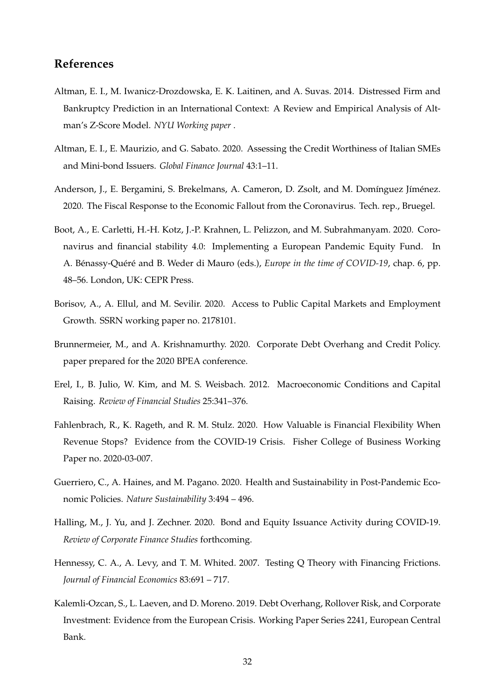# **References**

- Altman, E. I., M. Iwanicz-Drozdowska, E. K. Laitinen, and A. Suvas. 2014. Distressed Firm and Bankruptcy Prediction in an International Context: A Review and Empirical Analysis of Altman's Z-Score Model. *NYU Working paper* .
- Altman, E. I., E. Maurizio, and G. Sabato. 2020. Assessing the Credit Worthiness of Italian SMEs and Mini-bond Issuers. *Global Finance Journal* 43:1–11.
- Anderson, J., E. Bergamini, S. Brekelmans, A. Cameron, D. Zsolt, and M. Domínguez Jíménez. 2020. The Fiscal Response to the Economic Fallout from the Coronavirus. Tech. rep., Bruegel.
- Boot, A., E. Carletti, H.-H. Kotz, J.-P. Krahnen, L. Pelizzon, and M. Subrahmanyam. 2020. Coronavirus and financial stability 4.0: Implementing a European Pandemic Equity Fund. In A. Bénassy-Quéré and B. Weder di Mauro (eds.), *Europe in the time of COVID-19*, chap. 6, pp. 48–56. London, UK: CEPR Press.
- Borisov, A., A. Ellul, and M. Sevilir. 2020. Access to Public Capital Markets and Employment Growth. SSRN working paper no. 2178101.
- Brunnermeier, M., and A. Krishnamurthy. 2020. Corporate Debt Overhang and Credit Policy. paper prepared for the 2020 BPEA conference.
- Erel, I., B. Julio, W. Kim, and M. S. Weisbach. 2012. Macroeconomic Conditions and Capital Raising. *Review of Financial Studies* 25:341–376.
- Fahlenbrach, R., K. Rageth, and R. M. Stulz. 2020. How Valuable is Financial Flexibility When Revenue Stops? Evidence from the COVID-19 Crisis. Fisher College of Business Working Paper no. 2020-03-007.
- Guerriero, C., A. Haines, and M. Pagano. 2020. Health and Sustainability in Post-Pandemic Economic Policies. *Nature Sustainability* 3:494 – 496.
- Halling, M., J. Yu, and J. Zechner. 2020. Bond and Equity Issuance Activity during COVID-19. *Review of Corporate Finance Studies* forthcoming.
- Hennessy, C. A., A. Levy, and T. M. Whited. 2007. Testing Q Theory with Financing Frictions. *Journal of Financial Economics* 83:691 – 717.
- Kalemli-Ozcan, S., L. Laeven, and D. Moreno. 2019. Debt Overhang, Rollover Risk, and Corporate Investment: Evidence from the European Crisis. Working Paper Series 2241, European Central Bank.